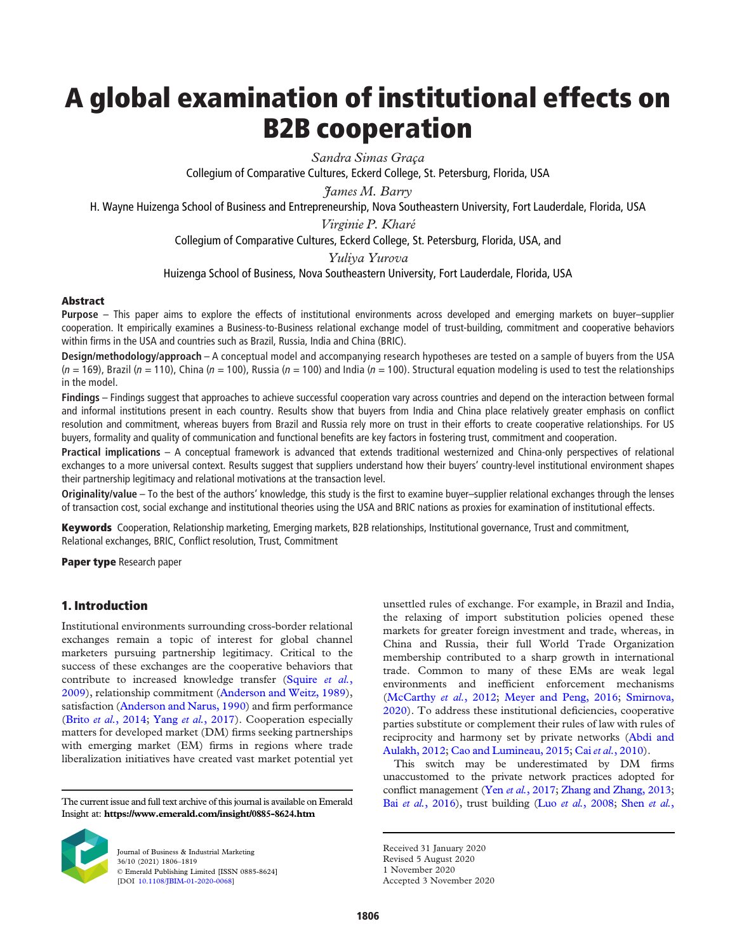# A global examination of institutional effects on B2B cooperation

Sandra Simas Graça Collegium of Comparative Cultures, Eckerd College, St. Petersburg, Florida, USA

James M. Barry

H. Wayne Huizenga School of Business and Entrepreneurship, Nova Southeastern University, Fort Lauderdale, Florida, USA

Virginie P. Kharé

Collegium of Comparative Cultures, Eckerd College, St. Petersburg, Florida, USA, and

Yuliya Yurova

Huizenga School of Business, Nova Southeastern University, Fort Lauderdale, Florida, USA

### Abstract

Purpose – This paper aims to explore the effects of institutional environments across developed and emerging markets on buyer–supplier cooperation. It empirically examines a Business-to-Business relational exchange model of trust-building, commitment and cooperative behaviors within firms in the USA and countries such as Brazil, Russia, India and China (BRIC).

Design/methodology/approach – A conceptual model and accompanying research hypotheses are tested on a sample of buyers from the USA  $(n = 169)$ , Brazil (n = 110), China (n = 100), Russia (n = 100) and India (n = 100). Structural equation modeling is used to test the relationships in the model.

Findings – Findings suggest that approaches to achieve successful cooperation vary across countries and depend on the interaction between formal and informal institutions present in each country. Results show that buyers from India and China place relatively greater emphasis on conflict resolution and commitment, whereas buyers from Brazil and Russia rely more on trust in their efforts to create cooperative relationships. For US buyers, formality and quality of communication and functional benefits are key factors in fostering trust, commitment and cooperation.

Practical implications – A conceptual framework is advanced that extends traditional westernized and China-only perspectives of relational exchanges to a more universal context. Results suggest that suppliers understand how their buyers' country-level institutional environment shapes their partnership legitimacy and relational motivations at the transaction level.

Originality/value – To the best of the authors' knowledge, this study is the first to examine buyer–supplier relational exchanges through the lenses of transaction cost, social exchange and institutional theories using the USA and BRIC nations as proxies for examination of institutional effects.

Keywords Cooperation, Relationship marketing, Emerging markets, B2B relationships, Institutional governance, Trust and commitment, Relational exchanges, BRIC, Conflict resolution, Trust, Commitment

Paper type Research paper

# 1. Introduction

Institutional environments surrounding cross-border relational exchanges remain a topic of interest for global channel marketers pursuing partnership legitimacy. Critical to the success of these exchanges are the cooperative behaviors that contribute to increased knowledge transfer [\(Squire](#page-12-0) et al., [2009\)](#page-12-0), relationship commitment [\(Anderson and Weitz, 1989\)](#page-9-0), satisfaction [\(Anderson and Narus, 1990](#page-9-1)) and firm performance (Brito *et al.*[, 2014](#page-9-2); Yang *et al.*[, 2017](#page-13-0)). Cooperation especially matters for developed market (DM) firms seeking partnerships with emerging market (EM) firms in regions where trade liberalization initiatives have created vast market potential yet

Insight at: https://www.emerald.com/insight/0885-8624.htm



Journal of Business & Industrial Marketing 36/10 (2021) 1806–1819 © Emerald Publishing Limited [ISSN 0885-8624] [DOI [10.1108/JBIM-01-2020-0068\]](http://dx.doi.org/10.1108/JBIM-01-2020-0068)

unsettled rules of exchange. For example, in Brazil and India, the relaxing of import substitution policies opened these markets for greater foreign investment and trade, whereas, in China and Russia, their full World Trade Organization membership contributed to a sharp growth in international trade. Common to many of these EMs are weak legal environments and inefficient enforcement mechanisms [\(McCarthy](#page-11-0) et al., 2012; [Meyer and Peng, 2016](#page-12-1); [Smirnova,](#page-12-2) [2020\)](#page-12-2). To address these institutional deficiencies, cooperative parties substitute or complement their rules of law with rules of reciprocity and harmony set by private networks [\(Abdi and](#page-9-3) [Aulakh, 2012;](#page-9-3) [Cao and Lumineau, 2015](#page-10-0); Cai et al.[, 2010](#page-10-1)).

This switch may be underestimated by DM firms unaccustomed to the private network practices adopted for conflict management (Yen et al.[, 2017;](#page-13-1) [Zhang and Zhang, 2013](#page-13-2); The current issue and full text archive of this journal is available on Emerald Bai et al.[, 2016\)](#page-9-4), trust building (Luo et al.[, 2008](#page-11-1); [Shen](#page-12-3) et al.,

> Received 31 January 2020 Revised 5 August 2020

1 November 2020

Accepted 3 November 2020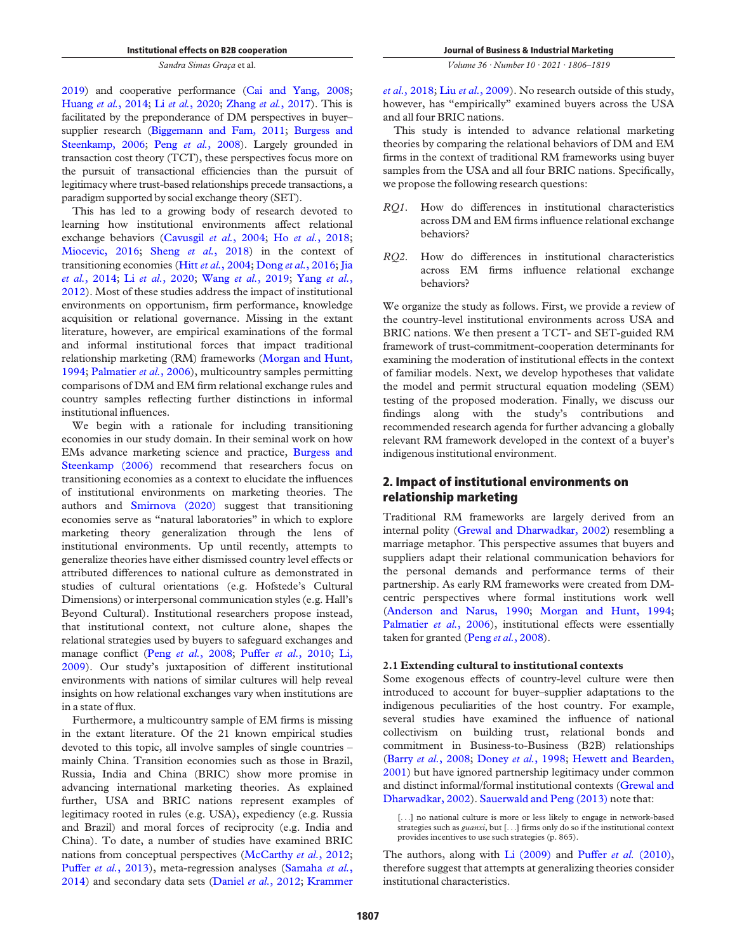[2019](#page-12-3)) and cooperative performance ([Cai and Yang, 2008](#page-10-2); [Huang](#page-11-2) et al., 2014; Li et al.[, 2020;](#page-11-3) Zhang et al.[, 2017](#page-13-3)). This is facilitated by the preponderance of DM perspectives in buyer– supplier research [\(Biggemann and Fam, 2011;](#page-9-5) [Burgess and](#page-10-3) [Steenkamp, 2006;](#page-10-3) Peng et al.[, 2008\)](#page-12-4). Largely grounded in transaction cost theory (TCT), these perspectives focus more on the pursuit of transactional efficiencies than the pursuit of legitimacy where trust-based relationships precede transactions, a paradigm supported by social exchange theory (SET).

This has led to a growing body of research devoted to learning how institutional environments affect relational exchange behaviors [\(Cavusgil](#page-10-4) et al., 2004; Ho et al.[, 2018](#page-11-4); [Miocevic, 2016](#page-12-5); Sheng et al.[, 2018](#page-12-6)) in the context of transitioning economies (Hitt et al.[, 2004;](#page-11-5) Dong et al.[, 2016;](#page-10-5) [Jia](#page-11-6) et al.[, 2014](#page-11-6); Li et al.[, 2020;](#page-11-3) Wang et al.[, 2019](#page-13-4); [Yang](#page-13-5) et al., [2012\)](#page-13-5). Most of these studies address the impact of institutional environments on opportunism, firm performance, knowledge acquisition or relational governance. Missing in the extant literature, however, are empirical examinations of the formal and informal institutional forces that impact traditional relationship marketing (RM) frameworks [\(Morgan and Hunt,](#page-12-7) [1994;](#page-12-7) [Palmatier](#page-12-8) et al., 2006), multicountry samples permitting comparisons of DM and EM firm relational exchange rules and country samples reflecting further distinctions in informal institutional influences.

We begin with a rationale for including transitioning economies in our study domain. In their seminal work on how EMs advance marketing science and practice, [Burgess and](#page-10-3) [Steenkamp \(2006\)](#page-10-3) recommend that researchers focus on transitioning economies as a context to elucidate the influences of institutional environments on marketing theories. The authors and [Smirnova \(2020\)](#page-12-2) suggest that transitioning economies serve as "natural laboratories" in which to explore marketing theory generalization through the lens of institutional environments. Up until recently, attempts to generalize theories have either dismissed country level effects or attributed differences to national culture as demonstrated in studies of cultural orientations (e.g. Hofstede's Cultural Dimensions) or interpersonal communication styles (e.g. Hall's Beyond Cultural). Institutional researchers propose instead, that institutional context, not culture alone, shapes the relational strategies used by buyers to safeguard exchanges and manage conflict (Peng et al.[, 2008](#page-12-4); Puffer et al.[, 2010;](#page-12-9) [Li,](#page-11-7) [2009\)](#page-11-7). Our study's juxtaposition of different institutional environments with nations of similar cultures will help reveal insights on how relational exchanges vary when institutions are in a state of flux.

Furthermore, a multicountry sample of EM firms is missing in the extant literature. Of the 21 known empirical studies devoted to this topic, all involve samples of single countries – mainly China. Transition economies such as those in Brazil, Russia, India and China (BRIC) show more promise in advancing international marketing theories. As explained further, USA and BRIC nations represent examples of legitimacy rooted in rules (e.g. USA), expediency (e.g. Russia and Brazil) and moral forces of reciprocity (e.g. India and China). To date, a number of studies have examined BRIC nations from conceptual perspectives [\(McCarthy](#page-11-0) et al., 2012; Puffer et al.[, 2013](#page-12-10)), meta-regression analyses ([Samaha](#page-12-11) et al., [2014\)](#page-12-11) and secondary data sets [\(Daniel](#page-10-6) et al., 2012; [Krammer](#page-11-8)

Volume 36 · Number 10 · 2021 · 1806–1819

et al.[, 2018](#page-11-8); Liu et al.[, 2009\)](#page-11-9). No research outside of this study, however, has "empirically" examined buyers across the USA and all four BRIC nations.

This study is intended to advance relational marketing theories by comparing the relational behaviors of DM and EM firms in the context of traditional RM frameworks using buyer samples from the USA and all four BRIC nations. Specifically, we propose the following research questions:

- RQ1. How do differences in institutional characteristics across DM and EM firms influence relational exchange behaviors?
- RQ2. How do differences in institutional characteristics across EM firms influence relational exchange behaviors?

We organize the study as follows. First, we provide a review of the country-level institutional environments across USA and BRIC nations. We then present a TCT- and SET-guided RM framework of trust-commitment-cooperation determinants for examining the moderation of institutional effects in the context of familiar models. Next, we develop hypotheses that validate the model and permit structural equation modeling (SEM) testing of the proposed moderation. Finally, we discuss our findings along with the study's contributions and recommended research agenda for further advancing a globally relevant RM framework developed in the context of a buyer's indigenous institutional environment.

# 2. Impact of institutional environments on relationship marketing

Traditional RM frameworks are largely derived from an internal polity ([Grewal and Dharwadkar, 2002](#page-10-7)) resembling a marriage metaphor. This perspective assumes that buyers and suppliers adapt their relational communication behaviors for the personal demands and performance terms of their partnership. As early RM frameworks were created from DMcentric perspectives where formal institutions work well [\(Anderson and Narus, 1990](#page-9-1); [Morgan and Hunt, 1994](#page-12-7); [Palmatier](#page-12-8) et al., 2006), institutional effects were essentially taken for granted (Peng et al.[, 2008\)](#page-12-4).

#### 2.1 Extending cultural to institutional contexts

Some exogenous effects of country-level culture were then introduced to account for buyer–supplier adaptations to the indigenous peculiarities of the host country. For example, several studies have examined the influence of national collectivism on building trust, relational bonds and commitment in Business-to-Business (B2B) relationships (Barry et al.[, 2008](#page-9-6); [Doney](#page-10-8) et al., 1998; [Hewett and Bearden,](#page-11-10) [2001\)](#page-11-10) but have ignored partnership legitimacy under common and distinct informal/formal institutional contexts [\(Grewal and](#page-10-7) [Dharwadkar, 2002](#page-10-7)). [Sauerwald and Peng \(2013\)](#page-12-12) note that:

[...] no national culture is more or less likely to engage in network-based strategies such as *guanxi*, but [...] firms only do so if the institutional context provides incentives to use such strategies (p. 865).

The authors, along with [Li \(2009\)](#page-11-7) and Puffer et al. [\(2010\)](#page-12-9), therefore suggest that attempts at generalizing theories consider institutional characteristics.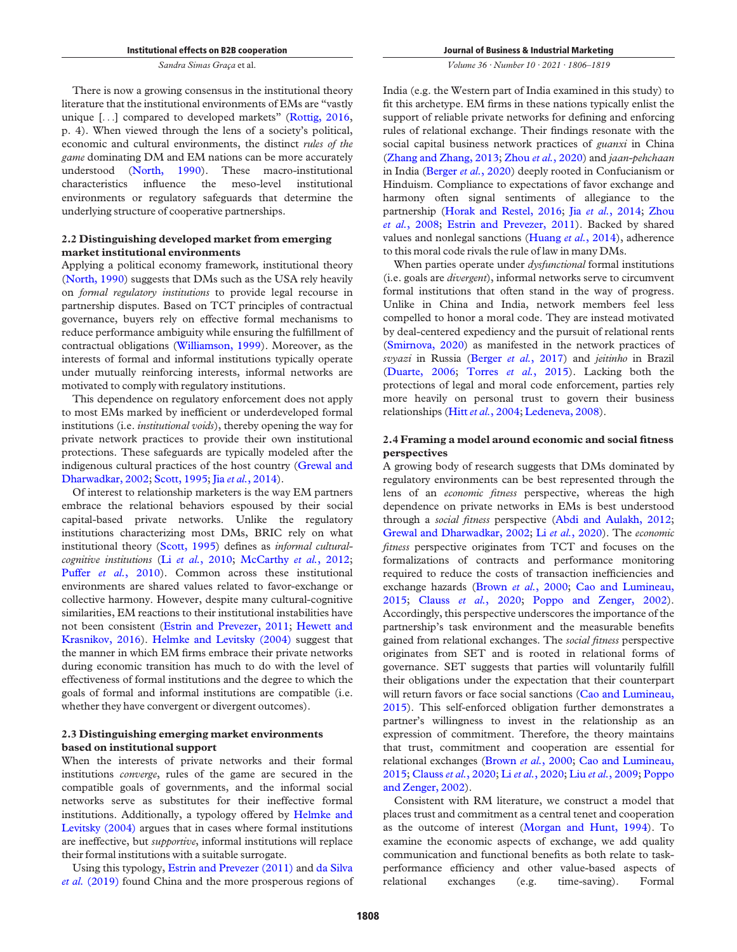There is now a growing consensus in the institutional theory literature that the institutional environments of EMs are "vastly unique [...] compared to developed markets" ([Rottig, 2016](#page-12-13), p. 4). When viewed through the lens of a society's political, economic and cultural environments, the distinct rules of the game dominating DM and EM nations can be more accurately understood [\(North, 1990](#page-12-14)). These macro-institutional<br>characteristics influence the meso-level institutional characteristics influence the meso-level institutional environments or regulatory safeguards that determine the underlying structure of cooperative partnerships.

# 2.2 Distinguishing developed market from emerging market institutional environments

Applying a political economy framework, institutional theory [\(North, 1990\)](#page-12-14) suggests that DMs such as the USA rely heavily on formal regulatory institutions to provide legal recourse in partnership disputes. Based on TCT principles of contractual governance, buyers rely on effective formal mechanisms to reduce performance ambiguity while ensuring the fulfillment of contractual obligations [\(Williamson, 1999\)](#page-13-6). Moreover, as the interests of formal and informal institutions typically operate under mutually reinforcing interests, informal networks are motivated to comply with regulatory institutions.

This dependence on regulatory enforcement does not apply to most EMs marked by inefficient or underdeveloped formal institutions (i.e. *institutional voids*), thereby opening the way for private network practices to provide their own institutional protections. These safeguards are typically modeled after the indigenous cultural practices of the host country [\(Grewal and](#page-10-7) [Dharwadkar, 2002](#page-10-7); [Scott, 1995;](#page-12-15) Jia et al.[, 2014](#page-11-6)).

Of interest to relationship marketers is the way EM partners embrace the relational behaviors espoused by their social capital-based private networks. Unlike the regulatory institutions characterizing most DMs, BRIC rely on what institutional theory [\(Scott, 1995](#page-12-15)) defines as *informal cultural*-cognitive institutions (Li et al.[, 2010](#page-11-11); [McCarthy](#page-11-0) et al., 2012; Puffer et al.[, 2010](#page-12-9)). Common across these institutional environments are shared values related to favor-exchange or collective harmony. However, despite many cultural-cognitive similarities, EM reactions to their institutional instabilities have not been consistent [\(Estrin and Prevezer, 2011](#page-10-9); [Hewett and](#page-11-12) [Krasnikov, 2016](#page-11-12)). [Helmke and Levitsky \(2004\)](#page-11-13) suggest that the manner in which EM firms embrace their private networks during economic transition has much to do with the level of effectiveness of formal institutions and the degree to which the goals of formal and informal institutions are compatible (i.e. whether they have convergent or divergent outcomes).

## 2.3 Distinguishing emerging market environments based on institutional support

When the interests of private networks and their formal institutions converge, rules of the game are secured in the compatible goals of governments, and the informal social networks serve as substitutes for their ineffective formal institutions. Additionally, a typology offered by [Helmke and](#page-11-13) [Levitsky \(2004\)](#page-11-13) argues that in cases where formal institutions are ineffective, but *supportive*, informal institutions will replace their formal institutions with a suitable surrogate.

Using this typology, [Estrin and Prevezer \(2011\)](#page-10-9) and [da Silva](#page-10-10) et al. [\(2019\)](#page-10-10) found China and the more prosperous regions of Journal of Business & Industrial Marketing

Volume 36 · Number 10 · 2021 · 1806–1819

India (e.g. the Western part of India examined in this study) to fit this archetype. EM firms in these nations typically enlist the support of reliable private networks for defining and enforcing rules of relational exchange. Their findings resonate with the social capital business network practices of *guanxi* in China [\(Zhang and Zhang, 2013;](#page-13-2) Zhou et al.[, 2020](#page-13-7)) and jaan-pehchaan in India ([Berger](#page-9-7) et al., 2020) deeply rooted in Confucianism or Hinduism. Compliance to expectations of favor exchange and harmony often signal sentiments of allegiance to the partnership [\(Horak and Restel, 2016;](#page-11-14) Jia et al.[, 2014;](#page-11-6) [Zhou](#page-13-8) et al.[, 2008](#page-13-8); [Estrin and Prevezer, 2011](#page-10-9)). Backed by shared values and nonlegal sanctions ([Huang](#page-11-2) et al., 2014), adherence to this moral code rivals the rule of law in many DMs.

When parties operate under *dysfunctional* formal institutions (i.e. goals are divergent), informal networks serve to circumvent formal institutions that often stand in the way of progress. Unlike in China and India, network members feel less compelled to honor a moral code. They are instead motivated by deal-centered expediency and the pursuit of relational rents [\(Smirnova, 2020\)](#page-12-2) as manifested in the network practices of svyazi in Russia (Berger et al.[, 2017](#page-9-8)) and jeitinho in Brazil [\(Duarte, 2006;](#page-10-11) Torres et al.[, 2015\)](#page-13-9). Lacking both the protections of legal and moral code enforcement, parties rely more heavily on personal trust to govern their business relationships (Hitt et al.[, 2004](#page-11-5); [Ledeneva, 2008\)](#page-11-15).

## 2.4 Framing a model around economic and social fitness perspectives

A growing body of research suggests that DMs dominated by regulatory environments can be best represented through the lens of an economic fitness perspective, whereas the high dependence on private networks in EMs is best understood through a social fitness perspective ([Abdi and Aulakh, 2012](#page-9-3); [Grewal and Dharwadkar, 2002](#page-10-7); Li et al.[, 2020](#page-11-3)). The economic fitness perspective originates from TCT and focuses on the formalizations of contracts and performance monitoring required to reduce the costs of transaction inefficiencies and exchange hazards (Brown et al.[, 2000;](#page-9-9) [Cao and Lumineau,](#page-10-0) [2015;](#page-10-0) Clauss et al.[, 2020](#page-10-12); [Poppo and Zenger, 2002\)](#page-12-16). Accordingly, this perspective underscores the importance of the partnership's task environment and the measurable benefits gained from relational exchanges. The *social fitness* perspective originates from SET and is rooted in relational forms of governance. SET suggests that parties will voluntarily fulfill their obligations under the expectation that their counterpart will return favors or face social sanctions ([Cao and Lumineau,](#page-10-0) [2015\)](#page-10-0). This self-enforced obligation further demonstrates a partner's willingness to invest in the relationship as an expression of commitment. Therefore, the theory maintains that trust, commitment and cooperation are essential for relational exchanges [\(Brown](#page-9-9) et al., 2000; [Cao and Lumineau,](#page-10-0) [2015;](#page-10-0) [Clauss](#page-10-12) et al.[, 2020;](#page-11-3) Li et al., 2020; Liu et al.[, 2009](#page-11-9); [Poppo](#page-12-16) [and Zenger, 2002\)](#page-12-16).

Consistent with RM literature, we construct a model that places trust and commitment as a central tenet and cooperation as the outcome of interest [\(Morgan and Hunt, 1994\)](#page-12-7). To examine the economic aspects of exchange, we add quality communication and functional benefits as both relate to taskperformance efficiency and other value-based aspects of relational exchanges (e.g. time-saving). Formal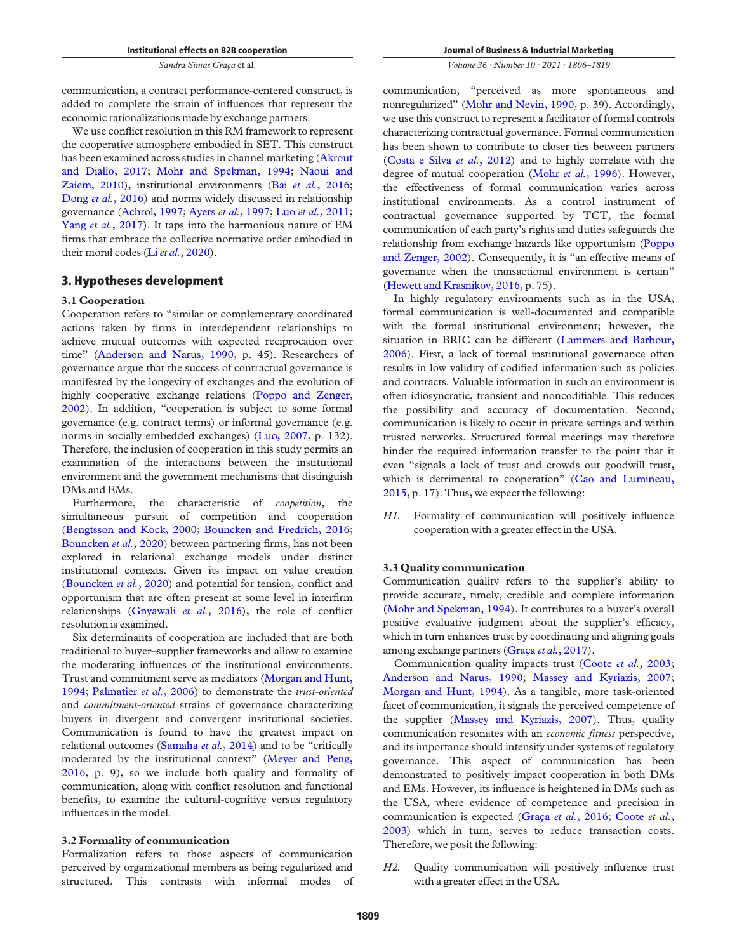communication, a contract performance-centered construct, is added to complete the strain of influences that represent the economic rationalizations made by exchange partners.

We use conflict resolution in this RM framework to represent the cooperative atmosphere embodied in SET. This construct has been examined across studies in channel marketing ([Akrout](#page-9-10) [and Diallo, 2017;](#page-9-10) [Mohr and Spekman, 1994](#page-12-17); [Naoui and](#page-12-18) [Zaiem, 2010\)](#page-12-18), institutional environments (Bai et al.[, 2016](#page-9-4); Dong et al.[, 2016\)](#page-10-5) and norms widely discussed in relationship governance ([Achrol, 1997;](#page-9-11) Ayers et al.[, 1997](#page-9-12); Luo et al.[, 2011](#page-11-16); Yang et al.[, 2017](#page-13-0)). It taps into the harmonious nature of EM firms that embrace the collective normative order embodied in their moral codes (Li  $et al., 2020$ ).

# 3. Hypotheses development

#### 3.1 Cooperation

Cooperation refers to "similar or complementary coordinated actions taken by firms in interdependent relationships to achieve mutual outcomes with expected reciprocation over time" [\(Anderson and Narus, 1990](#page-9-1), p. 45). Researchers of governance argue that the success of contractual governance is manifested by the longevity of exchanges and the evolution of highly cooperative exchange relations ([Poppo and Zenger,](#page-12-16) [2002\)](#page-12-16). In addition, "cooperation is subject to some formal governance (e.g. contract terms) or informal governance (e.g. norms in socially embedded exchanges) [\(Luo, 2007,](#page-11-17) p. 132). Therefore, the inclusion of cooperation in this study permits an examination of the interactions between the institutional environment and the government mechanisms that distinguish DMs and EMs.

Furthermore, the characteristic of *coopetition*, the simultaneous pursuit of competition and cooperation [\(Bengtsson and Kock, 2000;](#page-9-13) [Bouncken and Fredrich, 2016](#page-9-14); [Bouncken](#page-9-15) et al., 2020) between partnering firms, has not been explored in relational exchange models under distinct institutional contexts. Given its impact on value creation [\(Bouncken](#page-9-15) et al., 2020) and potential for tension, conflict and opportunism that are often present at some level in interfirm relationships ([Gnyawali](#page-10-13) et al., 2016), the role of conflict resolution is examined.

Six determinants of cooperation are included that are both traditional to buyer–supplier frameworks and allow to examine the moderating influences of the institutional environments. Trust and commitment serve as mediators ([Morgan and Hunt,](#page-12-7) [1994;](#page-12-7) [Palmatier](#page-12-8) et al., 2006) to demonstrate the trust-oriented and commitment-oriented strains of governance characterizing buyers in divergent and convergent institutional societies. Communication is found to have the greatest impact on relational outcomes [\(Samaha](#page-12-11) et  $al$ , 2014) and to be "critically moderated by the institutional context" ([Meyer and Peng,](#page-12-1) [2016,](#page-12-1) p. 9), so we include both quality and formality of communication, along with conflict resolution and functional benefits, to examine the cultural-cognitive versus regulatory influences in the model.

#### 3.2 Formality of communication

Formalization refers to those aspects of communication perceived by organizational members as being regularized and structured. This contrasts with informal modes of Volume 36 · Number 10 · 2021 · 1806–1819

communication, "perceived as more spontaneous and nonregularized" [\(Mohr and Nevin, 1990](#page-12-19), p. 39). Accordingly, we use this construct to represent a facilitator of formal controls characterizing contractual governance. Formal communication has been shown to contribute to closer ties between partners [\(Costa e Silva](#page-10-14) et al., 2012) and to highly correlate with the degree of mutual cooperation (Mohr et al.[, 1996](#page-12-20)). However, the effectiveness of formal communication varies across institutional environments. As a control instrument of contractual governance supported by TCT, the formal communication of each party's rights and duties safeguards the relationship from exchange hazards like opportunism ([Poppo](#page-12-16) [and Zenger, 2002\)](#page-12-16). Consequently, it is "an effective means of governance when the transactional environment is certain" [\(Hewett and Krasnikov, 2016](#page-11-12), p. 75).

In highly regulatory environments such as in the USA, formal communication is well-documented and compatible with the formal institutional environment; however, the situation in BRIC can be different [\(Lammers and Barbour,](#page-11-18) [2006\)](#page-11-18). First, a lack of formal institutional governance often results in low validity of codified information such as policies and contracts. Valuable information in such an environment is often idiosyncratic, transient and noncodifiable. This reduces the possibility and accuracy of documentation. Second, communication is likely to occur in private settings and within trusted networks. Structured formal meetings may therefore hinder the required information transfer to the point that it even "signals a lack of trust and crowds out goodwill trust, which is detrimental to cooperation" ([Cao and Lumineau,](#page-10-0) [2015,](#page-10-0) p. 17). Thus, we expect the following:

H1. Formality of communication will positively influence cooperation with a greater effect in the USA.

#### 3.3 Quality communication

Communication quality refers to the supplier's ability to provide accurate, timely, credible and complete information [\(Mohr and Spekman, 1994](#page-12-17)). It contributes to a buyer's overall positive evaluative judgment about the supplier's efficacy, which in turn enhances trust by coordinating and aligning goals among exchange partners (Graça et al.[, 2017](#page-10-15)).

Communication quality impacts trust (Coote et al.[, 2003](#page-10-16); [Anderson and Narus, 1990;](#page-9-1) [Massey and Kyriazis, 2007](#page-11-19); [Morgan and Hunt, 1994](#page-12-7)). As a tangible, more task-oriented facet of communication, it signals the perceived competence of the supplier ([Massey and Kyriazis, 2007](#page-11-19)). Thus, quality communication resonates with an economic fitness perspective, and its importance should intensify under systems of regulatory governance. This aspect of communication has been demonstrated to positively impact cooperation in both DMs and EMs. However, its influence is heightened in DMs such as the USA, where evidence of competence and precision in communication is expected (Graça et al.[, 2016](#page-10-17); [Coote](#page-10-16) et al., [2003\)](#page-10-16) which in turn, serves to reduce transaction costs. Therefore, we posit the following:

H2. Quality communication will positively influence trust with a greater effect in the USA.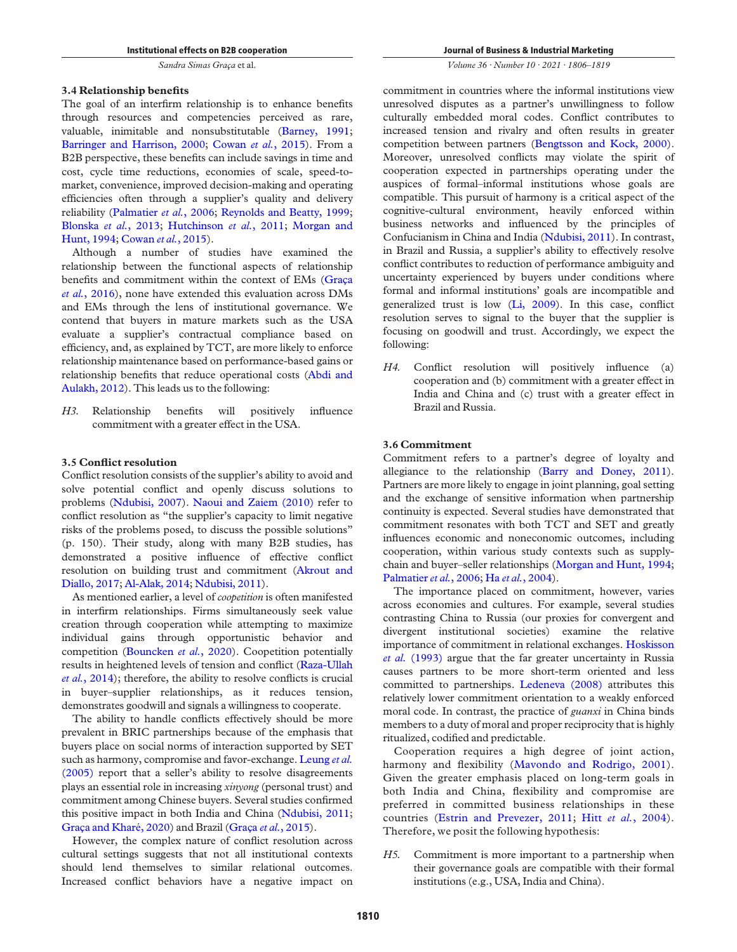#### 3.4 Relationship benefits

The goal of an interfirm relationship is to enhance benefits through resources and competencies perceived as rare, valuable, inimitable and nonsubstitutable [\(Barney, 1991](#page-9-16); [Barringer and Harrison, 2000;](#page-9-17) [Cowan](#page-10-18) et al., 2015). From a B2B perspective, these benefits can include savings in time and cost, cycle time reductions, economies of scale, speed-tomarket, convenience, improved decision-making and operating efficiencies often through a supplier's quality and delivery reliability [\(Palmatier](#page-12-8) et al., 2006; [Reynolds and Beatty, 1999](#page-12-21); [Blonska](#page-9-18) et al., 2013; [Hutchinson](#page-11-20) et al., 2011; [Morgan and](#page-12-7) [Hunt, 1994;](#page-12-7) [Cowan](#page-10-18) et al., 2015).

Although a number of studies have examined the relationship between the functional aspects of relationship benefits and commitment within the context of EMs [\(Graça](#page-10-17) et al.[, 2016\)](#page-10-17), none have extended this evaluation across DMs and EMs through the lens of institutional governance. We contend that buyers in mature markets such as the USA evaluate a supplier's contractual compliance based on efficiency, and, as explained by TCT, are more likely to enforce relationship maintenance based on performance-based gains or relationship benefits that reduce operational costs [\(Abdi and](#page-9-3) [Aulakh, 2012\)](#page-9-3). This leads us to the following:

H3. Relationship benefits will positively influence commitment with a greater effect in the USA.

## 3.5 Conflict resolution

Conflict resolution consists of the supplier's ability to avoid and solve potential conflict and openly discuss solutions to problems ([Ndubisi, 2007](#page-12-22)). [Naoui and Zaiem \(2010\)](#page-12-18) refer to conflict resolution as "the supplier's capacity to limit negative risks of the problems posed, to discuss the possible solutions" (p. 150). Their study, along with many B2B studies, has demonstrated a positive influence of effective conflict resolution on building trust and commitment ([Akrout and](#page-9-10) [Diallo, 2017;](#page-9-10) [Al-Alak, 2014;](#page-9-19) [Ndubisi, 2011](#page-12-23)).

As mentioned earlier, a level of *coopetition* is often manifested in interfirm relationships. Firms simultaneously seek value creation through cooperation while attempting to maximize individual gains through opportunistic behavior and competition [\(Bouncken](#page-9-15) et al., 2020). Coopetition potentially results in heightened levels of tension and conflict [\(Raza-Ullah](#page-12-24) et al.[, 2014\)](#page-12-24); therefore, the ability to resolve conflicts is crucial in buyer–supplier relationships, as it reduces tension, demonstrates goodwill and signals a willingness to cooperate.

The ability to handle conflicts effectively should be more prevalent in BRIC partnerships because of the emphasis that buyers place on social norms of interaction supported by SET such as harmony, compromise and favor-exchange. [Leung](#page-11-21) et al. [\(2005\)](#page-11-21) report that a seller's ability to resolve disagreements plays an essential role in increasing xinyong (personal trust) and commitment among Chinese buyers. Several studies confirmed this positive impact in both India and China [\(Ndubisi, 2011](#page-12-23); [Graça and Kharé, 2020\)](#page-10-19) and Brazil (Graça et al.[, 2015](#page-10-20)).

However, the complex nature of conflict resolution across cultural settings suggests that not all institutional contexts should lend themselves to similar relational outcomes. Increased conflict behaviors have a negative impact on Volume 36 · Number 10 · 2021 · 1806–1819

commitment in countries where the informal institutions view unresolved disputes as a partner's unwillingness to follow culturally embedded moral codes. Conflict contributes to increased tension and rivalry and often results in greater competition between partners ([Bengtsson and Kock, 2000\)](#page-9-13). Moreover, unresolved conflicts may violate the spirit of cooperation expected in partnerships operating under the auspices of formal–informal institutions whose goals are compatible. This pursuit of harmony is a critical aspect of the cognitive-cultural environment, heavily enforced within business networks and influenced by the principles of Confucianism in China and India ([Ndubisi, 2011\)](#page-12-23). In contrast, in Brazil and Russia, a supplier's ability to effectively resolve conflict contributes to reduction of performance ambiguity and uncertainty experienced by buyers under conditions where formal and informal institutions' goals are incompatible and generalized trust is low  $(Li, 2009)$  $(Li, 2009)$ . In this case, conflict resolution serves to signal to the buyer that the supplier is focusing on goodwill and trust. Accordingly, we expect the following:

H4. Conflict resolution will positively influence (a) cooperation and (b) commitment with a greater effect in India and China and (c) trust with a greater effect in Brazil and Russia.

## 3.6 Commitment

Commitment refers to a partner's degree of loyalty and allegiance to the relationship ([Barry and Doney, 2011\)](#page-9-20). Partners are more likely to engage in joint planning, goal setting and the exchange of sensitive information when partnership continuity is expected. Several studies have demonstrated that commitment resonates with both TCT and SET and greatly influences economic and noneconomic outcomes, including cooperation, within various study contexts such as supplychain and buyer–seller relationships [\(Morgan and Hunt, 1994](#page-12-7); [Palmatier](#page-12-8) et al., 2006; Ha et al.[, 2004\)](#page-10-21).

The importance placed on commitment, however, varies across economies and cultures. For example, several studies contrasting China to Russia (our proxies for convergent and divergent institutional societies) examine the relative importance of commitment in relational exchanges. [Hoskisson](#page-11-22) et al. [\(1993\)](#page-11-22) argue that the far greater uncertainty in Russia causes partners to be more short-term oriented and less committed to partnerships. [Ledeneva \(2008\)](#page-11-15) attributes this relatively lower commitment orientation to a weakly enforced moral code. In contrast, the practice of *guanxi* in China binds members to a duty of moral and proper reciprocity that is highly ritualized, codified and predictable.

Cooperation requires a high degree of joint action, harmony and flexibility (Mayondo and Rodrigo, 2001). Given the greater emphasis placed on long-term goals in both India and China, flexibility and compromise are preferred in committed business relationships in these countries ([Estrin and Prevezer, 2011](#page-10-9); Hitt et al.[, 2004\)](#page-11-5). Therefore, we posit the following hypothesis:

H5. Commitment is more important to a partnership when their governance goals are compatible with their formal institutions (e.g., USA, India and China).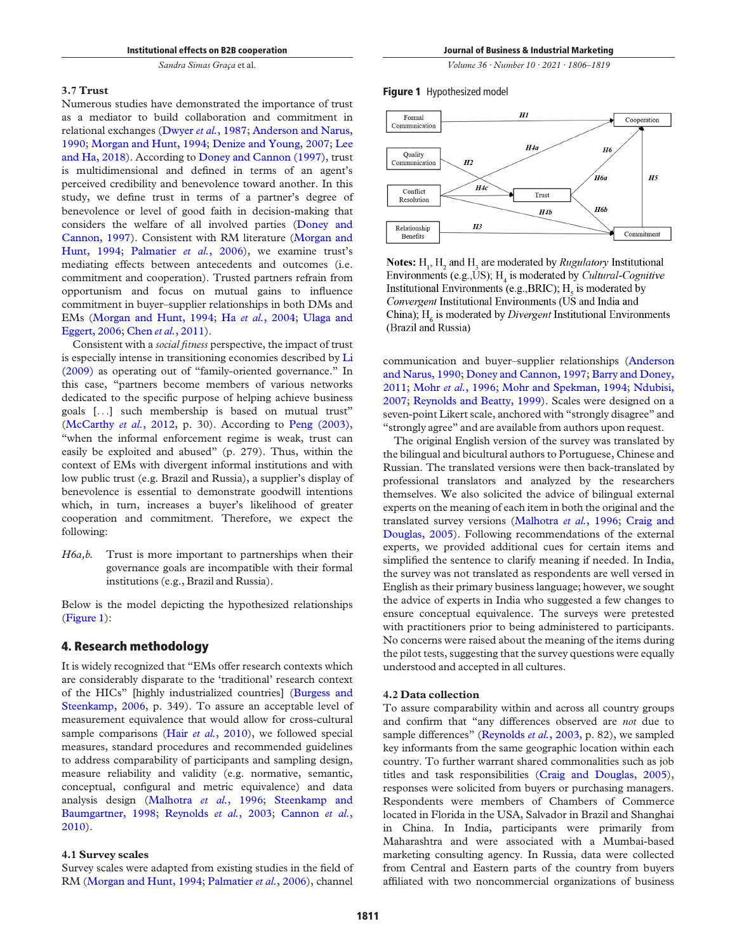## 3.7 Trust

Numerous studies have demonstrated the importance of trust as a mediator to build collaboration and commitment in relational exchanges [\(Dwyer](#page-10-22) et al., 1987; [Anderson and Narus,](#page-9-1) [1990;](#page-9-1) [Morgan and Hunt, 1994;](#page-12-7) [Denize and Young, 2007;](#page-10-23) [Lee](#page-11-24) [and Ha, 2018](#page-11-24)). According to [Doney and Cannon \(1997\)](#page-10-24), trust is multidimensional and defined in terms of an agent's perceived credibility and benevolence toward another. In this study, we define trust in terms of a partner's degree of benevolence or level of good faith in decision-making that considers the welfare of all involved parties ([Doney and](#page-10-24) [Cannon, 1997](#page-10-24)). Consistent with RM literature [\(Morgan and](#page-12-7) [Hunt, 1994](#page-12-7); [Palmatier](#page-12-8) et al., 2006), we examine trust's mediating effects between antecedents and outcomes (i.e. commitment and cooperation). Trusted partners refrain from opportunism and focus on mutual gains to influence commitment in buyer–supplier relationships in both DMs and EMs ([Morgan and Hunt, 1994;](#page-12-7) Ha et al.[, 2004](#page-10-21); [Ulaga and](#page-13-10) [Eggert, 2006](#page-13-10); Chen et al.[, 2011](#page-10-25)).

Consistent with a social fitness perspective, the impact of trust is especially intense in transitioning economies described by [Li](#page-11-7) [\(2009\)](#page-11-7) as operating out of "family-oriented governance." In this case, "partners become members of various networks dedicated to the specific purpose of helping achieve business goals [...] such membership is based on mutual trust" [\(McCarthy](#page-11-0) et al., 2012, p. 30). According to [Peng \(2003\)](#page-12-25), "when the informal enforcement regime is weak, trust can easily be exploited and abused" (p. 279). Thus, within the context of EMs with divergent informal institutions and with low public trust (e.g. Brazil and Russia), a supplier's display of benevolence is essential to demonstrate goodwill intentions which, in turn, increases a buyer's likelihood of greater cooperation and commitment. Therefore, we expect the following:

H6a,b. Trust is more important to partnerships when their governance goals are incompatible with their formal institutions (e.g., Brazil and Russia).

Below is the model depicting the hypothesized relationships [\(Figure 1](#page-5-0)):

# 4. Research methodology

It is widely recognized that "EMs offer research contexts which are considerably disparate to the 'traditional' research context of the HICs" [highly industrialized countries] [\(Burgess and](#page-10-3) [Steenkamp, 2006](#page-10-3), p. 349). To assure an acceptable level of measurement equivalence that would allow for cross-cultural sample comparisons (Hair et al.[, 2010\)](#page-11-25), we followed special measures, standard procedures and recommended guidelines to address comparability of participants and sampling design, measure reliability and validity (e.g. normative, semantic, conceptual, configural and metric equivalence) and data analysis design ([Malhotra](#page-11-26) et al., 1996; [Steenkamp and](#page-13-11) [Baumgartner, 1998](#page-13-11); [Reynolds](#page-12-26) et al., 2003; [Cannon](#page-10-26) et al., [2010\)](#page-10-26).

## 4.1 Survey scales

Survey scales were adapted from existing studies in the field of RM [\(Morgan and Hunt, 1994](#page-12-7); [Palmatier](#page-12-8) et al., 2006), channel

Volume 36 · Number 10 · 2021 · 1806–1819

<span id="page-5-0"></span>Figure 1 Hypothesized model



Notes: H<sub>1</sub>, H<sub>2</sub> and H<sub>2</sub> are moderated by *Rugulatory* Institutional Environments (e.g., US);  $H_a$  is moderated by *Cultural-Cognitive* Institutional Environments (e.g., BRIC); H<sub>s</sub> is moderated by Convergent Institutional Environments (US and India and China); H<sub>c</sub> is moderated by *Divergent* Institutional Environments (Brazil and Russia)

communication and buyer–supplier relationships [\(Anderson](#page-9-1) [and Narus, 1990](#page-9-1); [Doney and Cannon, 1997](#page-10-24); [Barry and Doney,](#page-9-20) [2011;](#page-9-20) Mohr et al.[, 1996](#page-12-20); [Mohr and Spekman, 1994;](#page-12-17) [Ndubisi,](#page-12-22) [2007;](#page-12-22) [Reynolds and Beatty, 1999\)](#page-12-21). Scales were designed on a seven-point Likert scale, anchored with "strongly disagree" and "strongly agree" and are available from authors upon request.

The original English version of the survey was translated by the bilingual and bicultural authors to Portuguese, Chinese and Russian. The translated versions were then back-translated by professional translators and analyzed by the researchers themselves. We also solicited the advice of bilingual external experts on the meaning of each item in both the original and the translated survey versions [\(Malhotra](#page-11-26) et al., 1996; [Craig and](#page-10-27) [Douglas, 2005](#page-10-27)). Following recommendations of the external experts, we provided additional cues for certain items and simplified the sentence to clarify meaning if needed. In India, the survey was not translated as respondents are well versed in English as their primary business language; however, we sought the advice of experts in India who suggested a few changes to ensure conceptual equivalence. The surveys were pretested with practitioners prior to being administered to participants. No concerns were raised about the meaning of the items during the pilot tests, suggesting that the survey questions were equally understood and accepted in all cultures.

## 4.2 Data collection

To assure comparability within and across all country groups and confirm that "any differences observed are not due to sample differences" [\(Reynolds](#page-12-26) et al., 2003, p. 82), we sampled key informants from the same geographic location within each country. To further warrant shared commonalities such as job titles and task responsibilities [\(Craig and Douglas, 2005\)](#page-10-27), responses were solicited from buyers or purchasing managers. Respondents were members of Chambers of Commerce located in Florida in the USA, Salvador in Brazil and Shanghai in China. In India, participants were primarily from Maharashtra and were associated with a Mumbai-based marketing consulting agency. In Russia, data were collected from Central and Eastern parts of the country from buyers affiliated with two noncommercial organizations of business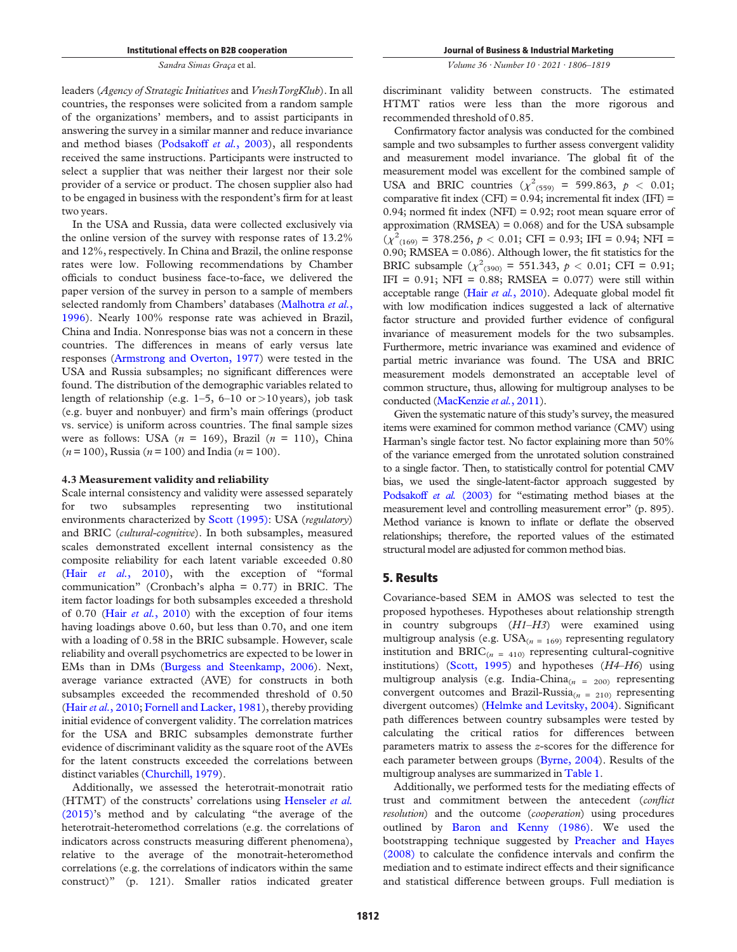leaders (Agency of Strategic Initiatives and VneshTorgKlub). In all countries, the responses were solicited from a random sample of the organizations' members, and to assist participants in answering the survey in a similar manner and reduce invariance and method biases ([Podsakoff](#page-12-27) et al., 2003), all respondents received the same instructions. Participants were instructed to select a supplier that was neither their largest nor their sole provider of a service or product. The chosen supplier also had to be engaged in business with the respondent's firm for at least two years.

In the USA and Russia, data were collected exclusively via the online version of the survey with response rates of 13.2% and 12%, respectively. In China and Brazil, the online response rates were low. Following recommendations by Chamber officials to conduct business face-to-face, we delivered the paper version of the survey in person to a sample of members selected randomly from Chambers' databases ([Malhotra](#page-11-26) et al., [1996\)](#page-11-26). Nearly 100% response rate was achieved in Brazil, China and India. Nonresponse bias was not a concern in these countries. The differences in means of early versus late responses ([Armstrong and Overton, 1977\)](#page-9-21) were tested in the USA and Russia subsamples; no significant differences were found. The distribution of the demographic variables related to length of relationship (e.g.  $1-5$ ,  $6-10$  or  $>10$  years), job task (e.g. buyer and nonbuyer) and firm's main offerings (product vs. service) is uniform across countries. The final sample sizes were as follows: USA  $(n = 169)$ , Brazil  $(n = 110)$ , China  $(n = 100)$ , Russia  $(n = 100)$  and India  $(n = 100)$ .

#### 4.3 Measurement validity and reliability

Scale internal consistency and validity were assessed separately for two subsamples representing two institutional environments characterized by [Scott \(1995\)](#page-12-15): USA (regulatory) and BRIC (cultural-cognitive). In both subsamples, measured scales demonstrated excellent internal consistency as the composite reliability for each latent variable exceeded 0.80 (Hair et al.[, 2010\)](#page-11-25), with the exception of "formal communication" (Cronbach's alpha = 0.77) in BRIC. The item factor loadings for both subsamples exceeded a threshold of 0.70 (Hair et al.[, 2010](#page-11-25)) with the exception of four items having loadings above 0.60, but less than 0.70, and one item with a loading of 0.58 in the BRIC subsample. However, scale reliability and overall psychometrics are expected to be lower in EMs than in DMs [\(Burgess and Steenkamp, 2006\)](#page-10-3). Next, average variance extracted (AVE) for constructs in both subsamples exceeded the recommended threshold of 0.50 (Hair et al.[, 2010](#page-11-25); [Fornell and Lacker, 1981\)](#page-10-28), thereby providing initial evidence of convergent validity. The correlation matrices for the USA and BRIC subsamples demonstrate further evidence of discriminant validity as the square root of the AVEs for the latent constructs exceeded the correlations between distinct variables [\(Churchill, 1979\)](#page-10-29).

Additionally, we assessed the heterotrait-monotrait ratio (HTMT) of the constructs' correlations using [Henseler](#page-11-27) et al. [\(2015\)](#page-11-27)'s method and by calculating "the average of the heterotrait-heteromethod correlations (e.g. the correlations of indicators across constructs measuring different phenomena), relative to the average of the monotrait-heteromethod correlations (e.g. the correlations of indicators within the same construct)" (p. 121). Smaller ratios indicated greater Volume 36 · Number 10 · 2021 · 1806–1819

discriminant validity between constructs. The estimated HTMT ratios were less than the more rigorous and recommended threshold of 0.85.

Confirmatory factor analysis was conducted for the combined sample and two subsamples to further assess convergent validity and measurement model invariance. The global fit of the measurement model was excellent for the combined sample of USA and BRIC countries  $(\chi^2_{(559)} = 599.863, p < 0.01;$ comparative fit index (CFI) =  $0.94$ ; incremental fit index (IFI) = 0.94; normed fit index (NFI) =  $0.92$ ; root mean square error of approximation  $(RMSEA) = 0.068$  and for the USA subsample  $(\chi^2_{(169)} = 378.256, p < 0.01; \text{ CFI} = 0.93; \text{ IFI} = 0.94; \text{ NFI} =$ 0.90; RMSEA = 0.086). Although lower, the fit statistics for the BRIC subsample  $(\chi^2_{(390)} = 551.343, p < 0.01; \text{ CFI} = 0.91;$ IFI =  $0.91$ ; NFI =  $0.88$ ; RMSEA =  $0.077$ ) were still within acceptable range (Hair et al.[, 2010](#page-11-25)). Adequate global model fit with low modification indices suggested a lack of alternative factor structure and provided further evidence of configural invariance of measurement models for the two subsamples. Furthermore, metric invariance was examined and evidence of partial metric invariance was found. The USA and BRIC measurement models demonstrated an acceptable level of common structure, thus, allowing for multigroup analyses to be conducted ([MacKenzie](#page-11-28) et al., 2011).

Given the systematic nature of this study's survey, the measured items were examined for common method variance (CMV) using Harman's single factor test. No factor explaining more than 50% of the variance emerged from the unrotated solution constrained to a single factor. Then, to statistically control for potential CMV bias, we used the single-latent-factor approach suggested by [Podsakoff](#page-12-27) et al. (2003) for "estimating method biases at the measurement level and controlling measurement error" (p. 895). Method variance is known to inflate or deflate the observed relationships; therefore, the reported values of the estimated structural model are adjusted for common method bias.

## 5. Results

Covariance-based SEM in AMOS was selected to test the proposed hypotheses. Hypotheses about relationship strength in country subgroups (H1–H3) were examined using multigroup analysis (e.g.  $USA_{(n = 169)}$  representing regulatory institution and BRIC<sub>(n = 410)</sub> representing cultural-cognitive institutions) [\(Scott, 1995](#page-12-15)) and hypotheses  $(H4-H6)$  using multigroup analysis (e.g. India-China<sub>(n = 200)</sub> representing convergent outcomes and Brazil-Russia<sub>(n = 210)</sub> representing divergent outcomes) ([Helmke and Levitsky, 2004](#page-11-13)). Significant path differences between country subsamples were tested by calculating the critical ratios for differences between parameters matrix to assess the z-scores for the difference for each parameter between groups [\(Byrne, 2004](#page-10-30)). Results of the multigroup analyses are summarized in [Table 1.](#page-7-0)

Additionally, we performed tests for the mediating effects of trust and commitment between the antecedent (conflict resolution) and the outcome (cooperation) using procedures outlined by [Baron and Kenny \(1986\)](#page-9-22). We used the bootstrapping technique suggested by [Preacher and Hayes](#page-12-28) [\(2008\)](#page-12-28) to calculate the confidence intervals and confirm the mediation and to estimate indirect effects and their significance and statistical difference between groups. Full mediation is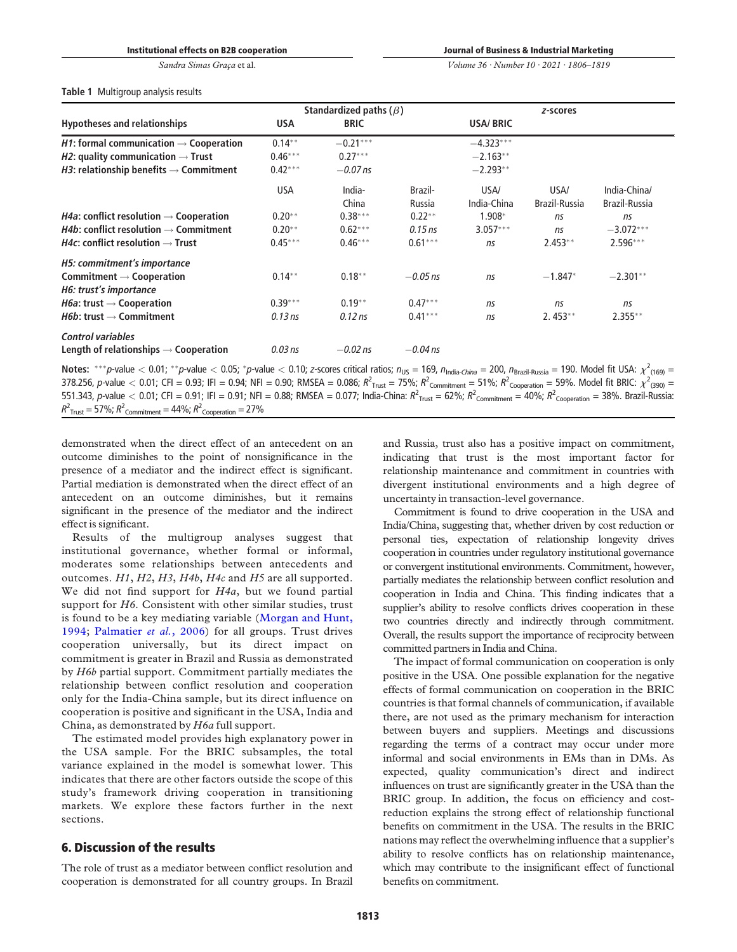Volume 36 · Number 10 · 2021 · 1806–1819

### <span id="page-7-0"></span>Table 1 Multigroup analysis results

|                                                            | Standardized paths ( $\beta$ ) |             |            | z-scores        |               |               |
|------------------------------------------------------------|--------------------------------|-------------|------------|-----------------|---------------|---------------|
| <b>Hypotheses and relationships</b>                        | <b>USA</b>                     | <b>BRIC</b> |            | <b>USA/BRIC</b> |               |               |
| <i>H1</i> : formal communication $\rightarrow$ Cooperation | $0.14***$                      | $-0.21***$  |            | $-4.323***$     |               |               |
| <i>H2</i> : quality communication $\rightarrow$ Trust      | $0.46***$                      | $0.27***$   |            | $-2.163**$      |               |               |
| H3: relationship benefits $\rightarrow$ Commitment         | $0.42***$                      | $-0.07$ ns  |            | $-2.293**$      |               |               |
|                                                            | <b>USA</b>                     | India-      | Brazil-    | USA/            | USA/          | India-China/  |
|                                                            |                                | China       | Russia     | India-China     | Brazil-Russia | Brazil-Russia |
| <i>H4a</i> : conflict resolution $\rightarrow$ Cooperation | $0.20**$                       | $0.38***$   | $0.22***$  | 1.908*          | ns            | ns            |
| <i>H4b:</i> conflict resolution $\rightarrow$ Commitment   | $0.20**$                       | $0.62***$   | $0.15$ ns  | $3.057***$      | ns            | $-3.072***$   |
| <i>H4c</i> : conflict resolution $\rightarrow$ Trust       | $0.45***$                      | $0.46***$   | $0.61***$  | ns              | $2.453**$     | $2.596***$    |
| H5: commitment's importance                                |                                |             |            |                 |               |               |
| Commitment $\rightarrow$ Cooperation                       | $0.14***$                      | $0.18***$   | $-0.05$ ns | ns              | $-1.847*$     | $-2.301**$    |
| H6: trust's importance                                     |                                |             |            |                 |               |               |
| <i>H6a</i> : trust $\rightarrow$ Cooperation               | $0.39***$                      | $0.19**$    | $0.47***$  | ns              | ns            | ns            |
| $H6b$ : trust $\rightarrow$ Commitment                     | $0.13$ ns                      | $0.12$ ns   | $0.41***$  | ns              | $2.453**$     | $2.355***$    |
| <b>Control variables</b>                                   |                                |             |            |                 |               |               |
| Length of relationships $\rightarrow$ Cooperation          | $0.03$ ns                      | $-0.02$ ns  | $-0.04$ ns |                 |               |               |

Notes:  $***p$ -value  $<$  0.01;  $^{**}p$ -value  $<$  0.05;  $^*p$ -value  $<$  0.10; z-scores critical ratios;  $n_{\sf US}=$  169,  $n_{\sf India\it{-China}}=$  200,  $n_{\sf Brazil\it{-Russia}}=$  190. Model fit USA:  $\chi^2_{(169)}=$ 378.256, p-value  $<$  0.01; CFI = 0.93; IFI = 0.94; NFI = 0.90; RMSEA = 0.086;  $R^2_{\rm \, Tust}$  = 75%;  $R^2_{\rm \, commitment}$  = 51%;  $R^2_{\rm \, Corporation}$  = 59%. Model fit BRIC:  $\chi^2_{\rm \, (390)}$  = 551.343, p-value  $<$  0.01; CFI = 0.91; IFI = 0.91; NFI = 0.88; RMSEA = 0.077; India-China:  $R^2_{\rm Trust}$  = 62%;  $R^2_{\rm Committee}$  = 40%;  $R^2_{\rm cooperation}$  = 38%. Brazil-Russia:  $R^2$ <sub>Trust</sub> = 57%;  $R^2$ <sub>Commitment</sub> = 44%;  $R^2$ <sub>Cooperation</sub> = 27%

demonstrated when the direct effect of an antecedent on an outcome diminishes to the point of nonsignificance in the presence of a mediator and the indirect effect is significant. Partial mediation is demonstrated when the direct effect of an antecedent on an outcome diminishes, but it remains significant in the presence of the mediator and the indirect effect is significant.

Results of the multigroup analyses suggest that institutional governance, whether formal or informal, moderates some relationships between antecedents and outcomes. H1, H2, H3, H4b, H4c and H5 are all supported. We did not find support for  $H4a$ , but we found partial support for H6. Consistent with other similar studies, trust is found to be a key mediating variable ([Morgan and Hunt,](#page-12-7) [1994;](#page-12-7) [Palmatier](#page-12-8) et al., 2006) for all groups. Trust drives cooperation universally, but its direct impact on commitment is greater in Brazil and Russia as demonstrated by H6b partial support. Commitment partially mediates the relationship between conflict resolution and cooperation only for the India-China sample, but its direct influence on cooperation is positive and significant in the USA, India and China, as demonstrated by *H6a* full support.

The estimated model provides high explanatory power in the USA sample. For the BRIC subsamples, the total variance explained in the model is somewhat lower. This indicates that there are other factors outside the scope of this study's framework driving cooperation in transitioning markets. We explore these factors further in the next sections.

# 6. Discussion of the results

The role of trust as a mediator between conflict resolution and cooperation is demonstrated for all country groups. In Brazil and Russia, trust also has a positive impact on commitment, indicating that trust is the most important factor for relationship maintenance and commitment in countries with divergent institutional environments and a high degree of uncertainty in transaction-level governance.

Commitment is found to drive cooperation in the USA and India/China, suggesting that, whether driven by cost reduction or personal ties, expectation of relationship longevity drives cooperation in countries under regulatory institutional governance or convergent institutional environments. Commitment, however, partially mediates the relationship between conflict resolution and cooperation in India and China. This finding indicates that a supplier's ability to resolve conflicts drives cooperation in these two countries directly and indirectly through commitment. Overall, the results support the importance of reciprocity between committed partners in India and China.

The impact of formal communication on cooperation is only positive in the USA. One possible explanation for the negative effects of formal communication on cooperation in the BRIC countries is that formal channels of communication, if available there, are not used as the primary mechanism for interaction between buyers and suppliers. Meetings and discussions regarding the terms of a contract may occur under more informal and social environments in EMs than in DMs. As expected, quality communication's direct and indirect influences on trust are significantly greater in the USA than the BRIC group. In addition, the focus on efficiency and costreduction explains the strong effect of relationship functional benefits on commitment in the USA. The results in the BRIC nations may reflect the overwhelming influence that a supplier's ability to resolve conflicts has on relationship maintenance, which may contribute to the insignificant effect of functional benefits on commitment.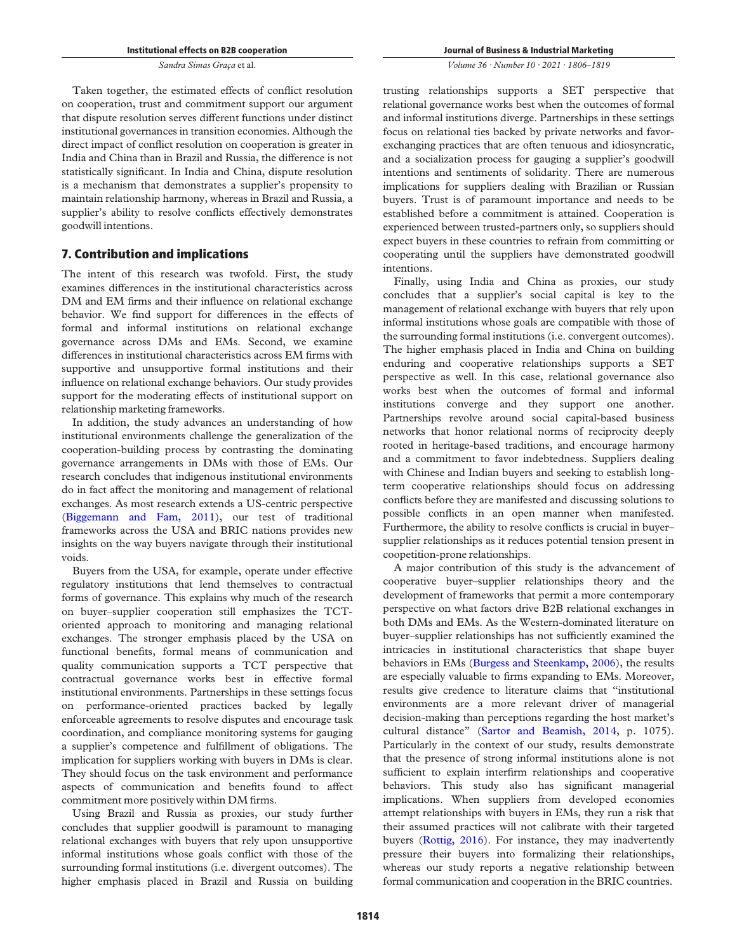Taken together, the estimated effects of conflict resolution on cooperation, trust and commitment support our argument that dispute resolution serves different functions under distinct institutional governances in transition economies. Although the direct impact of conflict resolution on cooperation is greater in India and China than in Brazil and Russia, the difference is not statistically significant. In India and China, dispute resolution is a mechanism that demonstrates a supplier's propensity to maintain relationship harmony, whereas in Brazil and Russia, a supplier's ability to resolve conflicts effectively demonstrates goodwill intentions.

# 7. Contribution and implications

The intent of this research was twofold. First, the study examines differences in the institutional characteristics across DM and EM firms and their influence on relational exchange behavior. We find support for differences in the effects of formal and informal institutions on relational exchange governance across DMs and EMs. Second, we examine differences in institutional characteristics across EM firms with supportive and unsupportive formal institutions and their influence on relational exchange behaviors. Our study provides support for the moderating effects of institutional support on relationship marketing frameworks.

In addition, the study advances an understanding of how institutional environments challenge the generalization of the cooperation-building process by contrasting the dominating governance arrangements in DMs with those of EMs. Our research concludes that indigenous institutional environments do in fact affect the monitoring and management of relational exchanges. As most research extends a US-centric perspective [\(Biggemann and Fam, 2011](#page-9-5)), our test of traditional frameworks across the USA and BRIC nations provides new insights on the way buyers navigate through their institutional voids.

Buyers from the USA, for example, operate under effective regulatory institutions that lend themselves to contractual forms of governance. This explains why much of the research on buyer–supplier cooperation still emphasizes the TCToriented approach to monitoring and managing relational exchanges. The stronger emphasis placed by the USA on functional benefits, formal means of communication and quality communication supports a TCT perspective that contractual governance works best in effective formal institutional environments. Partnerships in these settings focus on performance-oriented practices backed by legally enforceable agreements to resolve disputes and encourage task coordination, and compliance monitoring systems for gauging a supplier's competence and fulfillment of obligations. The implication for suppliers working with buyers in DMs is clear. They should focus on the task environment and performance aspects of communication and benefits found to affect commitment more positively within DM firms.

Using Brazil and Russia as proxies, our study further concludes that supplier goodwill is paramount to managing relational exchanges with buyers that rely upon unsupportive informal institutions whose goals conflict with those of the surrounding formal institutions (i.e. divergent outcomes). The higher emphasis placed in Brazil and Russia on building Journal of Business & Industrial Marketing

Volume 36 · Number 10 · 2021 · 1806–1819

trusting relationships supports a SET perspective that relational governance works best when the outcomes of formal and informal institutions diverge. Partnerships in these settings focus on relational ties backed by private networks and favorexchanging practices that are often tenuous and idiosyncratic, and a socialization process for gauging a supplier's goodwill intentions and sentiments of solidarity. There are numerous implications for suppliers dealing with Brazilian or Russian buyers. Trust is of paramount importance and needs to be established before a commitment is attained. Cooperation is experienced between trusted-partners only, so suppliers should expect buyers in these countries to refrain from committing or cooperating until the suppliers have demonstrated goodwill intentions.

Finally, using India and China as proxies, our study concludes that a supplier's social capital is key to the management of relational exchange with buyers that rely upon informal institutions whose goals are compatible with those of the surrounding formal institutions (i.e. convergent outcomes). The higher emphasis placed in India and China on building enduring and cooperative relationships supports a SET perspective as well. In this case, relational governance also works best when the outcomes of formal and informal institutions converge and they support one another. Partnerships revolve around social capital-based business networks that honor relational norms of reciprocity deeply rooted in heritage-based traditions, and encourage harmony and a commitment to favor indebtedness. Suppliers dealing with Chinese and Indian buyers and seeking to establish longterm cooperative relationships should focus on addressing conflicts before they are manifested and discussing solutions to possible conflicts in an open manner when manifested. Furthermore, the ability to resolve conflicts is crucial in buyer– supplier relationships as it reduces potential tension present in coopetition-prone relationships.

A major contribution of this study is the advancement of cooperative buyer–supplier relationships theory and the development of frameworks that permit a more contemporary perspective on what factors drive B2B relational exchanges in both DMs and EMs. As the Western-dominated literature on buyer–supplier relationships has not sufficiently examined the intricacies in institutional characteristics that shape buyer behaviors in EMs [\(Burgess and Steenkamp, 2006](#page-10-3)), the results are especially valuable to firms expanding to EMs. Moreover, results give credence to literature claims that "institutional environments are a more relevant driver of managerial decision-making than perceptions regarding the host market's cultural distance" [\(Sartor and Beamish, 2014](#page-12-29), p. 1075). Particularly in the context of our study, results demonstrate that the presence of strong informal institutions alone is not sufficient to explain interfirm relationships and cooperative behaviors. This study also has significant managerial implications. When suppliers from developed economies attempt relationships with buyers in EMs, they run a risk that their assumed practices will not calibrate with their targeted buyers ([Rottig, 2016](#page-12-13)). For instance, they may inadvertently pressure their buyers into formalizing their relationships, whereas our study reports a negative relationship between formal communication and cooperation in the BRIC countries.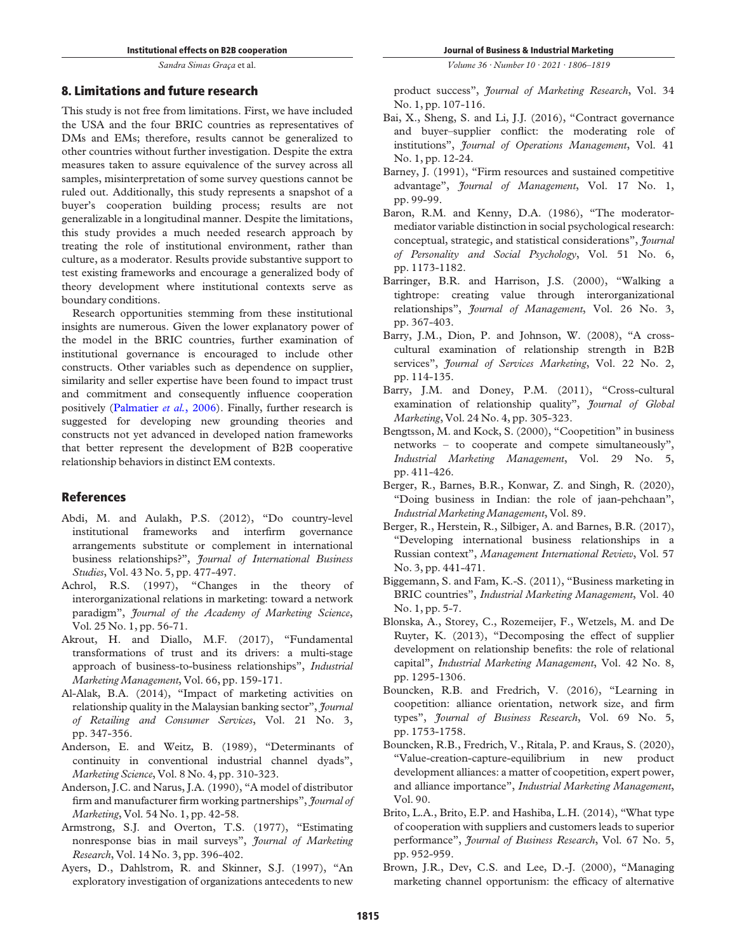## 8. Limitations and future research

This study is not free from limitations. First, we have included the USA and the four BRIC countries as representatives of DMs and EMs; therefore, results cannot be generalized to other countries without further investigation. Despite the extra measures taken to assure equivalence of the survey across all samples, misinterpretation of some survey questions cannot be ruled out. Additionally, this study represents a snapshot of a buyer's cooperation building process; results are not generalizable in a longitudinal manner. Despite the limitations, this study provides a much needed research approach by treating the role of institutional environment, rather than culture, as a moderator. Results provide substantive support to test existing frameworks and encourage a generalized body of theory development where institutional contexts serve as boundary conditions.

Research opportunities stemming from these institutional insights are numerous. Given the lower explanatory power of the model in the BRIC countries, further examination of institutional governance is encouraged to include other constructs. Other variables such as dependence on supplier, similarity and seller expertise have been found to impact trust and commitment and consequently influence cooperation positively ([Palmatier](#page-12-8) et al., 2006). Finally, further research is suggested for developing new grounding theories and constructs not yet advanced in developed nation frameworks that better represent the development of B2B cooperative relationship behaviors in distinct EM contexts.

## **References**

- <span id="page-9-3"></span>Abdi, M. and Aulakh, P.S. (2012), "Do country-level institutional frameworks and interfirm governance arrangements substitute or complement in international business relationships?", Journal of International Business Studies, Vol. 43 No. 5, pp. 477-497.
- <span id="page-9-11"></span>Achrol, R.S. (1997), "Changes in the theory of interorganizational relations in marketing: toward a network paradigm", Journal of the Academy of Marketing Science, Vol. 25 No. 1, pp. 56-71.
- <span id="page-9-10"></span>Akrout, H. and Diallo, M.F. (2017), "Fundamental transformations of trust and its drivers: a multi-stage approach of business-to-business relationships", Industrial Marketing Management, Vol. 66, pp. 159-171.
- <span id="page-9-19"></span>Al-Alak, B.A. (2014), "Impact of marketing activities on relationship quality in the Malaysian banking sector", *Journal* of Retailing and Consumer Services, Vol. 21 No. 3, pp. 347-356.
- <span id="page-9-0"></span>Anderson, E. and Weitz, B. (1989), "Determinants of continuity in conventional industrial channel dyads", Marketing Science, Vol. 8 No. 4, pp. 310-323.
- <span id="page-9-1"></span>Anderson, J.C. and Narus, J.A. (1990), "A model of distributor firm and manufacturer firm working partnerships", *Journal of* Marketing, Vol. 54 No. 1, pp. 42-58.
- <span id="page-9-21"></span>Armstrong, S.J. and Overton, T.S. (1977), "Estimating nonresponse bias in mail surveys", *Journal of Marketing* Research, Vol. 14 No. 3, pp. 396-402.
- <span id="page-9-12"></span>Ayers, D., Dahlstrom, R. and Skinner, S.J. (1997), "An exploratory investigation of organizations antecedents to new

Volume 36 · Number 10 · 2021 · 1806–1819

product success", Journal of Marketing Research, Vol. 34 No. 1, pp. 107-116.

- <span id="page-9-4"></span>Bai, X., Sheng, S. and Li, J.J. (2016), "Contract governance and buyer–supplier conflict: the moderating role of institutions", Journal of Operations Management, Vol. 41 No. 1, pp. 12-24.
- <span id="page-9-16"></span>Barney, J. (1991), "Firm resources and sustained competitive advantage", Journal of Management, Vol. 17 No. 1, pp. 99-99.
- <span id="page-9-22"></span>Baron, R.M. and Kenny, D.A. (1986), "The moderatormediator variable distinction in social psychological research: conceptual, strategic, and statistical considerations", *Journal* of Personality and Social Psychology, Vol. 51 No. 6, pp. 1173-1182.
- <span id="page-9-17"></span>Barringer, B.R. and Harrison, J.S. (2000), "Walking a tightrope: creating value through interorganizational relationships", Journal of Management, Vol. 26 No. 3, pp. 367-403.
- <span id="page-9-6"></span>Barry, J.M., Dion, P. and Johnson, W. (2008), "A crosscultural examination of relationship strength in B2B services", Journal of Services Marketing, Vol. 22 No. 2, pp. 114-135.
- <span id="page-9-20"></span>Barry, J.M. and Doney, P.M. (2011), "Cross-cultural examination of relationship quality", Journal of Global Marketing, Vol. 24 No. 4, pp. 305-323.
- <span id="page-9-13"></span>Bengtsson, M. and Kock, S. (2000), "Coopetition" in business networks – to cooperate and compete simultaneously", Industrial Marketing Management, Vol. 29 No. 5, pp. 411-426.
- <span id="page-9-7"></span>Berger, R., Barnes, B.R., Konwar, Z. and Singh, R. (2020), "Doing business in Indian: the role of jaan-pehchaan", Industrial Marketing Management, Vol. 89.
- <span id="page-9-8"></span>Berger, R., Herstein, R., Silbiger, A. and Barnes, B.R. (2017), "Developing international business relationships in a Russian context", Management International Review, Vol. 57 No. 3, pp. 441-471.
- <span id="page-9-5"></span>Biggemann, S. and Fam, K.-S. (2011), "Business marketing in BRIC countries", Industrial Marketing Management, Vol. 40 No. 1, pp. 5-7.
- <span id="page-9-18"></span>Blonska, A., Storey, C., Rozemeijer, F., Wetzels, M. and De Ruyter, K. (2013), "Decomposing the effect of supplier development on relationship benefits: the role of relational capital", Industrial Marketing Management, Vol. 42 No. 8, pp. 1295-1306.
- <span id="page-9-14"></span>Bouncken, R.B. and Fredrich, V. (2016), "Learning in coopetition: alliance orientation, network size, and firm types", Journal of Business Research, Vol. 69 No. 5, pp. 1753-1758.
- <span id="page-9-15"></span>Bouncken, R.B., Fredrich, V., Ritala, P. and Kraus, S. (2020), "Value-creation-capture-equilibrium in new product development alliances: a matter of coopetition, expert power, and alliance importance", Industrial Marketing Management, Vol. 90.
- <span id="page-9-2"></span>Brito, L.A., Brito, E.P. and Hashiba, L.H. (2014), "What type of cooperation with suppliers and customers leads to superior performance", Journal of Business Research, Vol. 67 No. 5, pp. 952-959.
- <span id="page-9-9"></span>Brown, J.R., Dev, C.S. and Lee, D.-J. (2000), "Managing marketing channel opportunism: the efficacy of alternative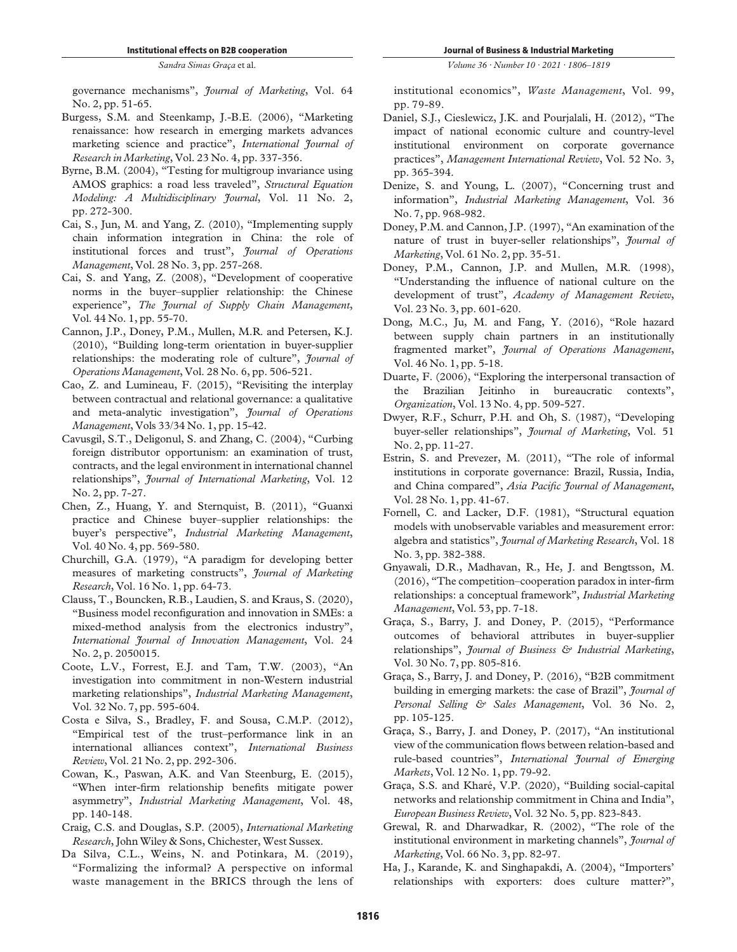governance mechanisms", Journal of Marketing, Vol. 64 No. 2, pp. 51-65.

- <span id="page-10-3"></span>Burgess, S.M. and Steenkamp, J.-B.E. (2006), "Marketing renaissance: how research in emerging markets advances marketing science and practice", International Journal of Research in Marketing, Vol. 23 No. 4, pp. 337-356.
- <span id="page-10-30"></span>Byrne, B.M. (2004), "Testing for multigroup invariance using AMOS graphics: a road less traveled", Structural Equation Modeling: A Multidisciplinary Journal, Vol. 11 No. 2, pp. 272-300.
- <span id="page-10-1"></span>Cai, S., Jun, M. and Yang, Z. (2010), "Implementing supply chain information integration in China: the role of institutional forces and trust", Journal of Operations Management, Vol. 28 No. 3, pp. 257-268.
- <span id="page-10-2"></span>Cai, S. and Yang, Z. (2008), "Development of cooperative norms in the buyer–supplier relationship: the Chinese experience", The Journal of Supply Chain Management, Vol. 44 No. 1, pp. 55-70.
- <span id="page-10-26"></span>Cannon, J.P., Doney, P.M., Mullen, M.R. and Petersen, K.J. (2010), "Building long-term orientation in buyer-supplier relationships: the moderating role of culture", *Journal of* Operations Management, Vol. 28 No. 6, pp. 506-521.
- <span id="page-10-0"></span>Cao, Z. and Lumineau, F. (2015), "Revisiting the interplay between contractual and relational governance: a qualitative and meta-analytic investigation", Journal of Operations Management, Vols 33/34 No. 1, pp. 15-42.
- <span id="page-10-4"></span>Cavusgil, S.T., Deligonul, S. and Zhang, C. (2004), "Curbing foreign distributor opportunism: an examination of trust, contracts, and the legal environment in international channel relationships", Journal of International Marketing, Vol. 12 No. 2, pp. 7-27.
- <span id="page-10-25"></span>Chen, Z., Huang, Y. and Sternquist, B. (2011), "Guanxi practice and Chinese buyer–supplier relationships: the buyer's perspective", Industrial Marketing Management, Vol. 40 No. 4, pp. 569-580.
- <span id="page-10-29"></span>Churchill, G.A. (1979), "A paradigm for developing better measures of marketing constructs", Journal of Marketing Research, Vol. 16 No. 1, pp. 64-73.
- <span id="page-10-12"></span>Clauss, T., Bouncken, R.B., Laudien, S. and Kraus, S. (2020), "Business model reconfiguration and innovation in SMEs: a mixed-method analysis from the electronics industry", International Journal of Innovation Management, Vol. 24 No. 2, p. 2050015.
- <span id="page-10-16"></span>Coote, L.V., Forrest, E.J. and Tam, T.W. (2003), "An investigation into commitment in non-Western industrial marketing relationships", Industrial Marketing Management, Vol. 32 No. 7, pp. 595-604.
- <span id="page-10-14"></span>Costa e Silva, S., Bradley, F. and Sousa, C.M.P. (2012), "Empirical test of the trust–performance link in an international alliances context", International Business Review, Vol. 21 No. 2, pp. 292-306.
- <span id="page-10-18"></span>Cowan, K., Paswan, A.K. and Van Steenburg, E. (2015), "When inter-firm relationship benefits mitigate power asymmetry", Industrial Marketing Management, Vol. 48, pp. 140-148.
- <span id="page-10-27"></span>Craig, C.S. and Douglas, S.P. (2005), International Marketing Research, John Wiley & Sons, Chichester, West Sussex.
- <span id="page-10-10"></span>Da Silva, C.L., Weins, N. and Potinkara, M. (2019), "Formalizing the informal? A perspective on informal waste management in the BRICS through the lens of

Volume 36 · Number 10 · 2021 · 1806–1819

institutional economics", Waste Management, Vol. 99, pp. 79-89.

- <span id="page-10-6"></span>Daniel, S.J., Cieslewicz, J.K. and Pourjalali, H. (2012), "The impact of national economic culture and country-level institutional environment on corporate governance practices", Management International Review, Vol. 52 No. 3, pp. 365-394.
- <span id="page-10-23"></span>Denize, S. and Young, L. (2007), "Concerning trust and information", Industrial Marketing Management, Vol. 36 No. 7, pp. 968-982.
- <span id="page-10-24"></span>Doney, P.M. and Cannon, J.P. (1997), "An examination of the nature of trust in buyer-seller relationships", Journal of Marketing, Vol. 61 No. 2, pp. 35-51.
- <span id="page-10-8"></span>Doney, P.M., Cannon, J.P. and Mullen, M.R. (1998), "Understanding the influence of national culture on the development of trust", Academy of Management Review, Vol. 23 No. 3, pp. 601-620.
- <span id="page-10-5"></span>Dong, M.C., Ju, M. and Fang, Y. (2016), "Role hazard between supply chain partners in an institutionally fragmented market", Journal of Operations Management, Vol. 46 No. 1, pp. 5-18.
- <span id="page-10-11"></span>Duarte, F. (2006), "Exploring the interpersonal transaction of the Brazilian Jeitinho in bureaucratic contexts", Organization, Vol. 13 No. 4, pp. 509-527.
- <span id="page-10-22"></span>Dwyer, R.F., Schurr, P.H. and Oh, S. (1987), "Developing buyer-seller relationships", Journal of Marketing, Vol. 51 No. 2, pp. 11-27.
- <span id="page-10-9"></span>Estrin, S. and Prevezer, M. (2011), "The role of informal institutions in corporate governance: Brazil, Russia, India, and China compared", Asia Pacific Journal of Management, Vol. 28 No. 1, pp. 41-67.
- <span id="page-10-28"></span>Fornell, C. and Lacker, D.F. (1981), "Structural equation models with unobservable variables and measurement error: algebra and statistics", Journal of Marketing Research, Vol. 18 No. 3, pp. 382-388.
- <span id="page-10-13"></span>Gnyawali, D.R., Madhavan, R., He, J. and Bengtsson, M. (2016), "The competition–cooperation paradox in inter-firm relationships: a conceptual framework", Industrial Marketing Management, Vol. 53, pp. 7-18.
- <span id="page-10-20"></span>Graça, S., Barry, J. and Doney, P. (2015), "Performance outcomes of behavioral attributes in buyer-supplier relationships", Journal of Business & Industrial Marketing, Vol. 30 No. 7, pp. 805-816.
- <span id="page-10-17"></span>Graça, S., Barry, J. and Doney, P. (2016), "B2B commitment building in emerging markets: the case of Brazil", *Journal of* Personal Selling & Sales Management, Vol. 36 No. 2, pp. 105-125.
- <span id="page-10-15"></span>Graça, S., Barry, J. and Doney, P. (2017), "An institutional view of the communication flows between relation-based and rule-based countries", International Journal of Emerging Markets, Vol. 12 No. 1, pp. 79-92.
- <span id="page-10-19"></span>Graça, S.S. and Kharé, V.P. (2020), "Building social-capital networks and relationship commitment in China and India", European Business Review, Vol. 32 No. 5, pp. 823-843.
- <span id="page-10-7"></span>Grewal, R. and Dharwadkar, R. (2002), "The role of the institutional environment in marketing channels", *Journal of* Marketing, Vol. 66 No. 3, pp. 82-97.
- <span id="page-10-21"></span>Ha, J., Karande, K. and Singhapakdi, A. (2004), "Importers' relationships with exporters: does culture matter?",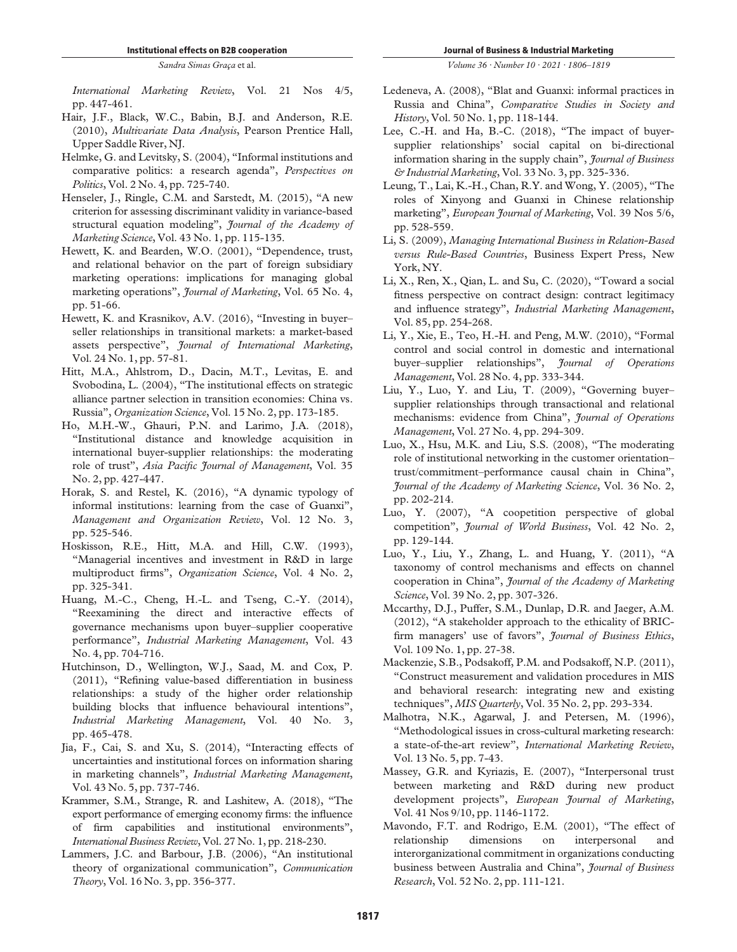International Marketing Review, Vol. 21 Nos 4/5, pp. 447-461.

- <span id="page-11-25"></span>Hair, J.F., Black, W.C., Babin, B.J. and Anderson, R.E. (2010), Multivariate Data Analysis, Pearson Prentice Hall, Upper Saddle River, NJ.
- <span id="page-11-13"></span>Helmke, G. and Levitsky, S. (2004), "Informal institutions and comparative politics: a research agenda", Perspectives on Politics, Vol. 2 No. 4, pp. 725-740.
- <span id="page-11-27"></span>Henseler, J., Ringle, C.M. and Sarstedt, M. (2015), "A new criterion for assessing discriminant validity in variance-based structural equation modeling", Journal of the Academy of Marketing Science, Vol. 43 No. 1, pp. 115-135.
- <span id="page-11-10"></span>Hewett, K. and Bearden, W.O. (2001), "Dependence, trust, and relational behavior on the part of foreign subsidiary marketing operations: implications for managing global marketing operations", *Journal of Marketing*, Vol. 65 No. 4, pp. 51-66.
- <span id="page-11-12"></span>Hewett, K. and Krasnikov, A.V. (2016), "Investing in buyer– seller relationships in transitional markets: a market-based assets perspective", Journal of International Marketing, Vol. 24 No. 1, pp. 57-81.
- <span id="page-11-5"></span>Hitt, M.A., Ahlstrom, D., Dacin, M.T., Levitas, E. and Svobodina, L. (2004), "The institutional effects on strategic alliance partner selection in transition economies: China vs. Russia", Organization Science, Vol. 15 No. 2, pp. 173-185.
- <span id="page-11-4"></span>Ho, M.H.-W., Ghauri, P.N. and Larimo, J.A. (2018), "Institutional distance and knowledge acquisition in international buyer-supplier relationships: the moderating role of trust", Asia Pacific Journal of Management, Vol. 35 No. 2, pp. 427-447.
- <span id="page-11-14"></span>Horak, S. and Restel, K. (2016), "A dynamic typology of informal institutions: learning from the case of Guanxi", Management and Organization Review, Vol. 12 No. 3, pp. 525-546.
- <span id="page-11-22"></span>Hoskisson, R.E., Hitt, M.A. and Hill, C.W. (1993), "Managerial incentives and investment in R&D in large multiproduct firms", Organization Science, Vol. 4 No. 2, pp. 325-341.
- <span id="page-11-2"></span>Huang, M.-C., Cheng, H.-L. and Tseng, C.-Y. (2014), "Reexamining the direct and interactive effects of governance mechanisms upon buyer–supplier cooperative performance", Industrial Marketing Management, Vol. 43 No. 4, pp. 704-716.
- <span id="page-11-20"></span>Hutchinson, D., Wellington, W.J., Saad, M. and Cox, P. (2011), "Refining value-based differentiation in business relationships: a study of the higher order relationship building blocks that influence behavioural intentions", Industrial Marketing Management, Vol. 40 No. 3, pp. 465-478.
- <span id="page-11-6"></span>Jia, F., Cai, S. and Xu, S. (2014), "Interacting effects of uncertainties and institutional forces on information sharing in marketing channels", Industrial Marketing Management, Vol. 43 No. 5, pp. 737-746.
- <span id="page-11-8"></span>Krammer, S.M., Strange, R. and Lashitew, A. (2018), "The export performance of emerging economy firms: the influence of firm capabilities and institutional environments", International Business Review, Vol. 27 No. 1, pp. 218-230.
- <span id="page-11-18"></span>Lammers, J.C. and Barbour, J.B. (2006), "An institutional theory of organizational communication", Communication Theory, Vol. 16 No. 3, pp. 356-377.

Volume 36 · Number 10 · 2021 · 1806–1819

- <span id="page-11-15"></span>Ledeneva, A. (2008), "Blat and Guanxi: informal practices in Russia and China", Comparative Studies in Society and History, Vol. 50 No. 1, pp. 118-144.
- <span id="page-11-24"></span>Lee, C.-H. and Ha, B.-C. (2018), "The impact of buyersupplier relationships' social capital on bi-directional information sharing in the supply chain", *Journal of Business* & Industrial Marketing, Vol. 33 No. 3, pp. 325-336.
- <span id="page-11-21"></span>Leung, T., Lai, K.-H., Chan, R.Y. and Wong, Y. (2005), "The roles of Xinyong and Guanxi in Chinese relationship marketing", European Journal of Marketing, Vol. 39 Nos 5/6, pp. 528-559.
- <span id="page-11-7"></span>Li, S. (2009), Managing International Business in Relation-Based versus Rule-Based Countries, Business Expert Press, New York, NY.
- <span id="page-11-3"></span>Li, X., Ren, X., Qian, L. and Su, C. (2020), "Toward a social fitness perspective on contract design: contract legitimacy and influence strategy", Industrial Marketing Management, Vol. 85, pp. 254-268.
- <span id="page-11-11"></span>Li, Y., Xie, E., Teo, H.-H. and Peng, M.W. (2010), "Formal control and social control in domestic and international buyer–supplier relationships", Journal of Operations Management, Vol. 28 No. 4, pp. 333-344.
- <span id="page-11-9"></span>Liu, Y., Luo, Y. and Liu, T. (2009), "Governing buyer– supplier relationships through transactional and relational mechanisms: evidence from China", Journal of Operations Management, Vol. 27 No. 4, pp. 294-309.
- <span id="page-11-1"></span>Luo, X., Hsu, M.K. and Liu, S.S. (2008), "The moderating role of institutional networking in the customer orientation– trust/commitment–performance causal chain in China", Journal of the Academy of Marketing Science, Vol. 36 No. 2, pp. 202-214.
- <span id="page-11-17"></span>Luo, Y. (2007), "A coopetition perspective of global competition", Journal of World Business, Vol. 42 No. 2, pp. 129-144.
- <span id="page-11-16"></span>Luo, Y., Liu, Y., Zhang, L. and Huang, Y. (2011), "A taxonomy of control mechanisms and effects on channel cooperation in China", Journal of the Academy of Marketing Science, Vol. 39 No. 2, pp. 307-326.
- <span id="page-11-0"></span>Mccarthy, D.J., Puffer, S.M., Dunlap, D.R. and Jaeger, A.M. (2012), "A stakeholder approach to the ethicality of BRICfirm managers' use of favors", Journal of Business Ethics, Vol. 109 No. 1, pp. 27-38.
- <span id="page-11-28"></span>Mackenzie, S.B., Podsakoff, P.M. and Podsakoff, N.P. (2011), "Construct measurement and validation procedures in MIS and behavioral research: integrating new and existing techniques", MIS Quarterly, Vol. 35 No. 2, pp. 293-334.
- <span id="page-11-26"></span>Malhotra, N.K., Agarwal, J. and Petersen, M. (1996), "Methodological issues in cross-cultural marketing research: a state-of-the-art review", International Marketing Review, Vol. 13 No. 5, pp. 7-43.
- <span id="page-11-19"></span>Massey, G.R. and Kyriazis, E. (2007), "Interpersonal trust between marketing and R&D during new product development projects", European Journal of Marketing, Vol. 41 Nos 9/10, pp. 1146-1172.
- <span id="page-11-23"></span>Mavondo, F.T. and Rodrigo, E.M. (2001), "The effect of relationship dimensions on interpersonal and interorganizational commitment in organizations conducting business between Australia and China", Journal of Business Research, Vol. 52 No. 2, pp. 111-121.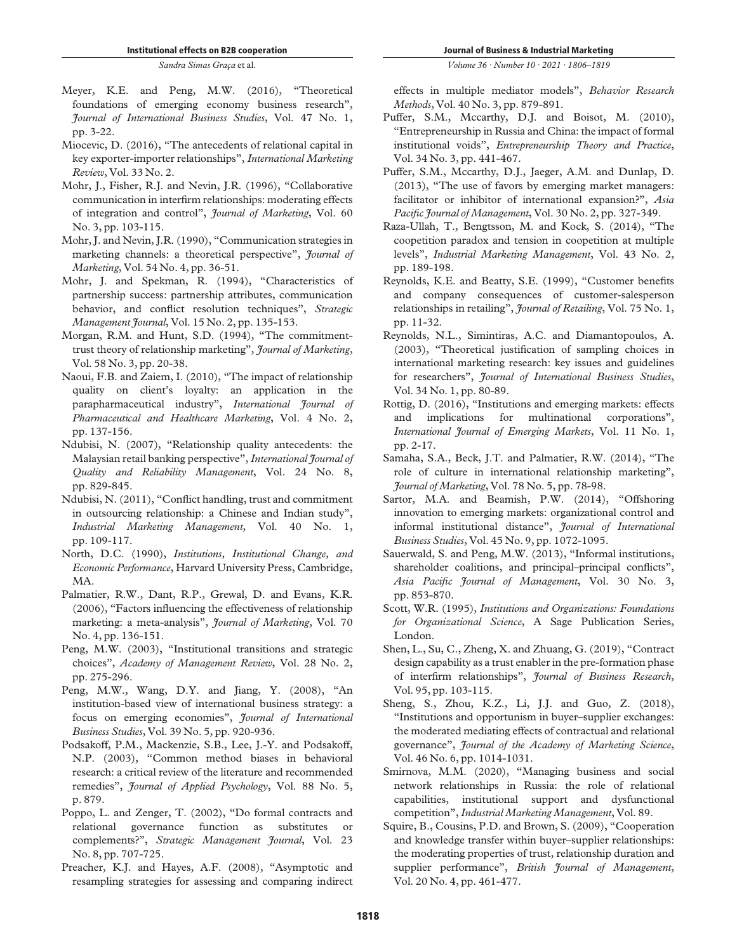- <span id="page-12-1"></span>Meyer, K.E. and Peng, M.W. (2016), "Theoretical foundations of emerging economy business research", Journal of International Business Studies, Vol. 47 No. 1, pp. 3-22.
- <span id="page-12-5"></span>Miocevic, D. (2016), "The antecedents of relational capital in key exporter-importer relationships", International Marketing Review, Vol. 33 No. 2.
- <span id="page-12-20"></span>Mohr, J., Fisher, R.J. and Nevin, J.R. (1996), "Collaborative communication in interfirm relationships: moderating effects of integration and control", *Journal of Marketing*, Vol. 60 No. 3, pp. 103-115.
- <span id="page-12-19"></span>Mohr, J. and Nevin, J.R. (1990), "Communication strategies in marketing channels: a theoretical perspective", Journal of Marketing, Vol. 54 No. 4, pp. 36-51.
- <span id="page-12-17"></span>Mohr, J. and Spekman, R. (1994), "Characteristics of partnership success: partnership attributes, communication behavior, and conflict resolution techniques", Strategic Management Journal, Vol. 15 No. 2, pp. 135-153.
- <span id="page-12-7"></span>Morgan, R.M. and Hunt, S.D. (1994), "The commitmenttrust theory of relationship marketing", Journal of Marketing, Vol. 58 No. 3, pp. 20-38.
- <span id="page-12-18"></span>Naoui, F.B. and Zaiem, I. (2010), "The impact of relationship quality on client's loyalty: an application in the parapharmaceutical industry", International Journal of Pharmaceutical and Healthcare Marketing, Vol. 4 No. 2, pp. 137-156.
- <span id="page-12-22"></span>Ndubisi, N. (2007), "Relationship quality antecedents: the Malaysian retail banking perspective", International Journal of Quality and Reliability Management, Vol. 24 No. 8, pp. 829-845.
- <span id="page-12-23"></span>Ndubisi, N. (2011), "Conflict handling, trust and commitment in outsourcing relationship: a Chinese and Indian study", Industrial Marketing Management, Vol. 40 No. 1, pp. 109-117.
- <span id="page-12-14"></span>North, D.C. (1990), Institutions, Institutional Change, and Economic Performance, Harvard University Press, Cambridge, MA.
- <span id="page-12-8"></span>Palmatier, R.W., Dant, R.P., Grewal, D. and Evans, K.R. (2006), "Factors influencing the effectiveness of relationship marketing: a meta-analysis", *Journal of Marketing*, Vol. 70 No. 4, pp. 136-151.
- <span id="page-12-25"></span>Peng, M.W. (2003), "Institutional transitions and strategic choices", Academy of Management Review, Vol. 28 No. 2, pp. 275-296.
- <span id="page-12-4"></span>Peng, M.W., Wang, D.Y. and Jiang, Y. (2008), "An institution-based view of international business strategy: a focus on emerging economies", Journal of International Business Studies, Vol. 39 No. 5, pp. 920-936.
- <span id="page-12-27"></span>Podsakoff, P.M., Mackenzie, S.B., Lee, J.-Y. and Podsakoff, N.P. (2003), "Common method biases in behavioral research: a critical review of the literature and recommended remedies", Journal of Applied Psychology, Vol. 88 No. 5, p. 879.
- <span id="page-12-16"></span>Poppo, L. and Zenger, T. (2002), "Do formal contracts and relational governance function as substitutes or complements?", Strategic Management Journal, Vol. 23 No. 8, pp. 707-725.
- <span id="page-12-28"></span>Preacher, K.J. and Hayes, A.F. (2008), "Asymptotic and resampling strategies for assessing and comparing indirect

Volume 36 · Number 10 · 2021 · 1806–1819

effects in multiple mediator models", Behavior Research Methods, Vol. 40 No. 3, pp. 879-891.

- <span id="page-12-9"></span>Puffer, S.M., Mccarthy, D.J. and Boisot, M. (2010), "Entrepreneurship in Russia and China: the impact of formal institutional voids", Entrepreneurship Theory and Practice, Vol. 34 No. 3, pp. 441-467.
- <span id="page-12-10"></span>Puffer, S.M., Mccarthy, D.J., Jaeger, A.M. and Dunlap, D. (2013), "The use of favors by emerging market managers: facilitator or inhibitor of international expansion?", Asia Pacific Journal of Management, Vol. 30 No. 2, pp. 327-349.
- <span id="page-12-24"></span>Raza-Ullah, T., Bengtsson, M. and Kock, S. (2014), "The coopetition paradox and tension in coopetition at multiple levels", Industrial Marketing Management, Vol. 43 No. 2, pp. 189-198.
- <span id="page-12-21"></span>Reynolds, K.E. and Beatty, S.E. (1999), "Customer benefits and company consequences of customer-salesperson relationships in retailing", *Journal of Retailing*, Vol. 75 No. 1, pp. 11-32.
- <span id="page-12-26"></span>Reynolds, N.L., Simintiras, A.C. and Diamantopoulos, A. (2003), "Theoretical justification of sampling choices in international marketing research: key issues and guidelines for researchers", Journal of International Business Studies, Vol. 34 No. 1, pp. 80-89.
- <span id="page-12-13"></span>Rottig, D. (2016), "Institutions and emerging markets: effects and implications for multinational corporations", International Journal of Emerging Markets, Vol. 11 No. 1, pp. 2-17.
- <span id="page-12-11"></span>Samaha, S.A., Beck, J.T. and Palmatier, R.W. (2014), "The role of culture in international relationship marketing", Journal of Marketing, Vol. 78 No. 5, pp. 78-98.
- <span id="page-12-29"></span>Sartor, M.A. and Beamish, P.W. (2014), "Offshoring innovation to emerging markets: organizational control and informal institutional distance", Journal of International Business Studies, Vol. 45 No. 9, pp. 1072-1095.
- <span id="page-12-12"></span>Sauerwald, S. and Peng, M.W. (2013), "Informal institutions, shareholder coalitions, and principal–principal conflicts", Asia Pacific Journal of Management, Vol. 30 No. 3, pp. 853-870.
- <span id="page-12-15"></span>Scott, W.R. (1995), Institutions and Organizations: Foundations for Organizational Science, A Sage Publication Series, London.
- <span id="page-12-3"></span>Shen, L., Su, C., Zheng, X. and Zhuang, G. (2019), "Contract design capability as a trust enabler in the pre-formation phase of interfirm relationships", Journal of Business Research, Vol. 95, pp. 103-115.
- <span id="page-12-6"></span>Sheng, S., Zhou, K.Z., Li, J.J. and Guo, Z. (2018), "Institutions and opportunism in buyer–supplier exchanges: the moderated mediating effects of contractual and relational governance", Journal of the Academy of Marketing Science, Vol. 46 No. 6, pp. 1014-1031.
- <span id="page-12-2"></span>Smirnova, M.M. (2020), "Managing business and social network relationships in Russia: the role of relational capabilities, institutional support and dysfunctional competition", Industrial Marketing Management, Vol. 89.
- <span id="page-12-0"></span>Squire, B., Cousins, P.D. and Brown, S. (2009), "Cooperation and knowledge transfer within buyer–supplier relationships: the moderating properties of trust, relationship duration and supplier performance", British Journal of Management, Vol. 20 No. 4, pp. 461-477.